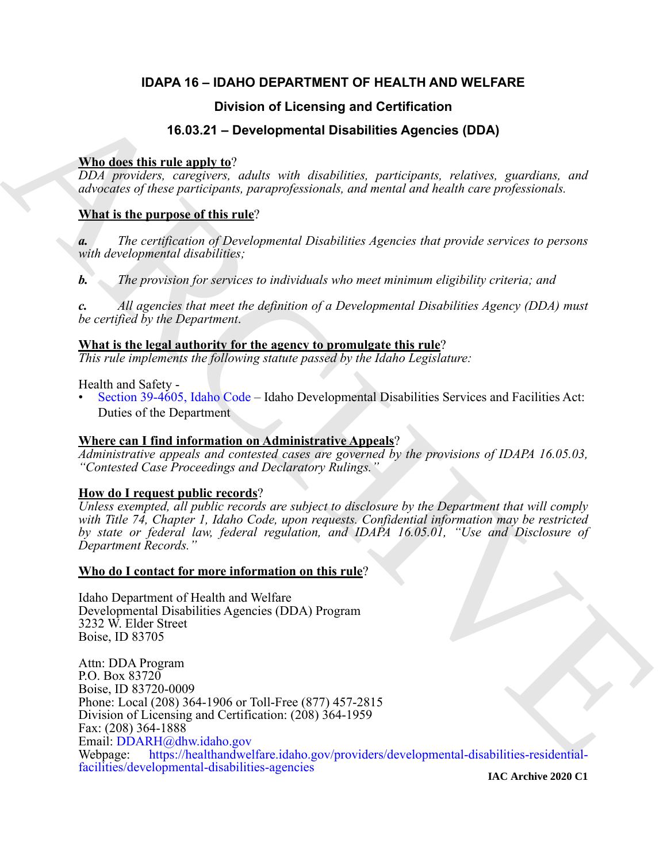# **IDAPA 16 – IDAHO DEPARTMENT OF HEALTH AND WELFARE**

# **Division of Licensing and Certification**

# **16.03.21 – Developmental Disabilities Agencies (DDA)**

# **Who does this rule apply to**?

*DDA providers, caregivers, adults with disabilities, participants, relatives, guardians, and advocates of these participants, paraprofessionals, and mental and health care professionals.*

# **What is the purpose of this rule**?

*a. The certification of Developmental Disabilities Agencies that provide services to persons with developmental disabilities;* 

*b. The provision for services to individuals who meet minimum eligibility criteria; and*

*c. All agencies that meet the definition of a Developmental Disabilities Agency (DDA) must be certified by the Department*.

**What is the legal authority for the agency to promulgate this rule**?

*This rule implements the following statute passed by the Idaho Legislature:*

Health and Safety -

• Section 39-4605, Idaho Code – Idaho Developmental Disabilities Services and Facilities Act: Duties of the Department

# **Where can I find information on Administrative Appeals**?

*Administrative appeals and contested cases are governed by the provisions of IDAPA 16.05.03, "Contested Case Proceedings and Declaratory Rulings."*

# **How do I request public records**?

*Unless exempted, all public records are subject to disclosure by the Department that will comply with Title 74, Chapter 1, Idaho Code, upon requests. Confidential information may be restricted by state or federal law, federal regulation, and IDAPA 16.05.01, "Use and Disclosure of Department Records."*

# **Who do I contact for more information on this rule**?

Idaho Department of Health and Welfare Developmental Disabilities Agencies (DDA) Program 3232 W. Elder Street Boise, ID 83705

**Division of Licensing and [C](https://legislature.idaho.gov/statutesrules/idstat/Title39/T39CH46/SECT39-4605/)ertification**<br> **16.03.21 – Dovelopmental Disabilities Agencies (DDA)**<br> *PDA game disc*, regarding, and *a division and a division and a division and a division and a division and particles appl* Attn: DDA Program P.O. Box 83720 Boise, ID 83720-0009 Phone: Local (208) 364-1906 or Toll-Free (877) 457-2815 Division of Licensing and Certification: (208) 364-1959 Fax: (208) 364-1888 Email: DDARH@dhw.idaho.gov<br>Webpage: https://healthandwel https://healthandwelfare.idaho.gov/providers/developmental-disabilities-residentialfacilities/developmental-disabilities-agencies

**IAC Archive 2020 C1**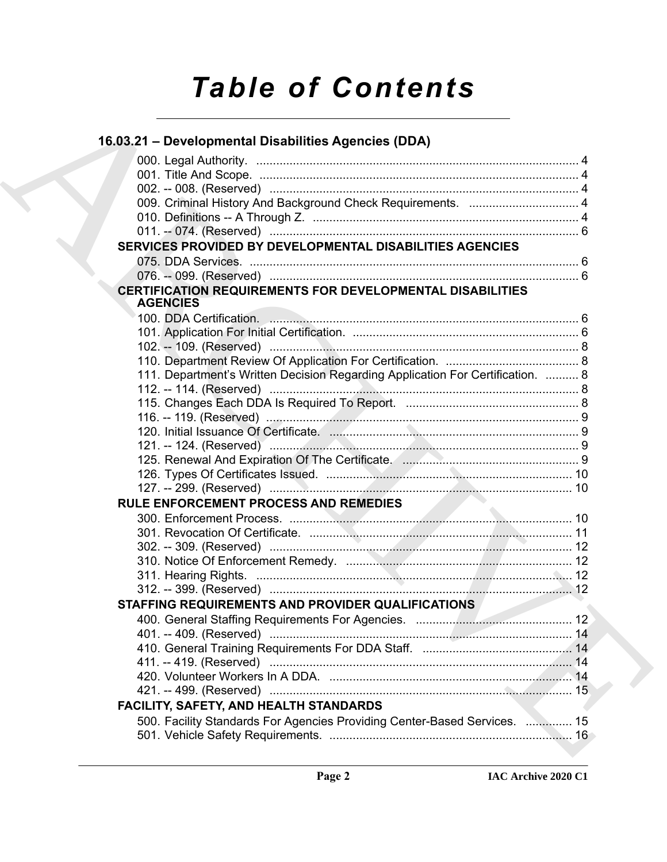# *Table of Contents*

| 16.03.21 - Developmental Disabilities Agencies (DDA)                                |  |
|-------------------------------------------------------------------------------------|--|
|                                                                                     |  |
|                                                                                     |  |
|                                                                                     |  |
| 009. Criminal History And Background Check Requirements.  4                         |  |
|                                                                                     |  |
|                                                                                     |  |
| SERVICES PROVIDED BY DEVELOPMENTAL DISABILITIES AGENCIES                            |  |
|                                                                                     |  |
|                                                                                     |  |
| <b>CERTIFICATION REQUIREMENTS FOR DEVELOPMENTAL DISABILITIES</b><br><b>AGENCIES</b> |  |
|                                                                                     |  |
|                                                                                     |  |
|                                                                                     |  |
|                                                                                     |  |
| 111. Department's Written Decision Regarding Application For Certification.  8      |  |
|                                                                                     |  |
|                                                                                     |  |
|                                                                                     |  |
|                                                                                     |  |
|                                                                                     |  |
|                                                                                     |  |
|                                                                                     |  |
|                                                                                     |  |
| <b>RULE ENFORCEMENT PROCESS AND REMEDIES</b>                                        |  |
|                                                                                     |  |
|                                                                                     |  |
|                                                                                     |  |
|                                                                                     |  |
|                                                                                     |  |
|                                                                                     |  |
| STAFFING REQUIREMENTS AND PROVIDER QUALIFICATIONS                                   |  |
|                                                                                     |  |
|                                                                                     |  |
|                                                                                     |  |
|                                                                                     |  |
|                                                                                     |  |
|                                                                                     |  |
| FACILITY, SAFETY, AND HEALTH STANDARDS                                              |  |
| 500. Facility Standards For Agencies Providing Center-Based Services.  15           |  |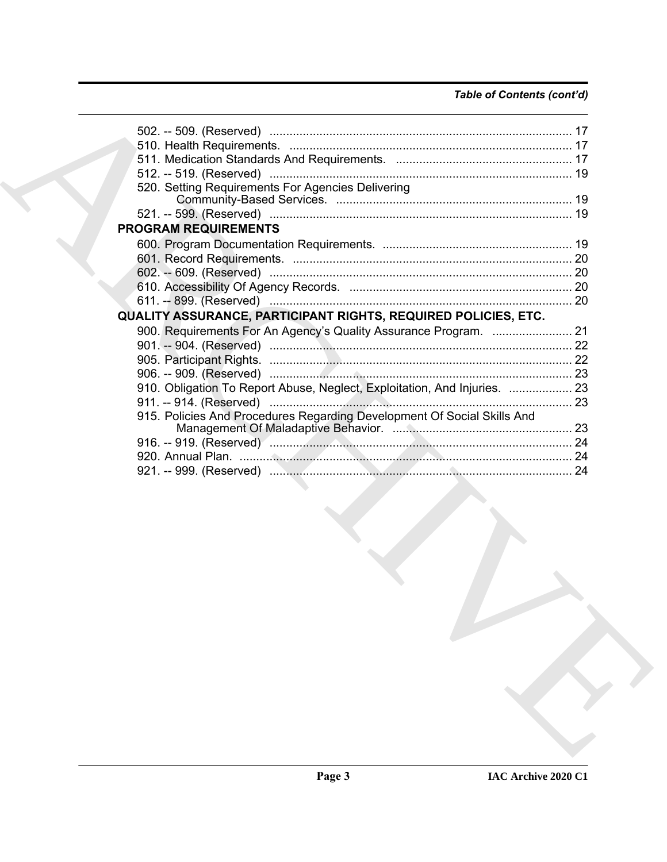# *Table of Contents (cont'd)*

| 520. Setting Requirements For Agencies Delivering                         |  |
|---------------------------------------------------------------------------|--|
|                                                                           |  |
|                                                                           |  |
| <b>PROGRAM REQUIREMENTS</b>                                               |  |
|                                                                           |  |
|                                                                           |  |
|                                                                           |  |
|                                                                           |  |
|                                                                           |  |
| QUALITY ASSURANCE, PARTICIPANT RIGHTS, REQUIRED POLICIES, ETC.            |  |
|                                                                           |  |
|                                                                           |  |
|                                                                           |  |
|                                                                           |  |
| 910. Obligation To Report Abuse, Neglect, Exploitation, And Injuries.  23 |  |
|                                                                           |  |
| 915. Policies And Procedures Regarding Development Of Social Skills And   |  |
|                                                                           |  |
|                                                                           |  |
|                                                                           |  |
|                                                                           |  |
|                                                                           |  |
|                                                                           |  |
|                                                                           |  |
|                                                                           |  |
|                                                                           |  |
|                                                                           |  |
|                                                                           |  |
|                                                                           |  |
|                                                                           |  |
|                                                                           |  |
|                                                                           |  |
|                                                                           |  |
|                                                                           |  |
|                                                                           |  |
|                                                                           |  |
|                                                                           |  |
|                                                                           |  |
|                                                                           |  |
|                                                                           |  |
|                                                                           |  |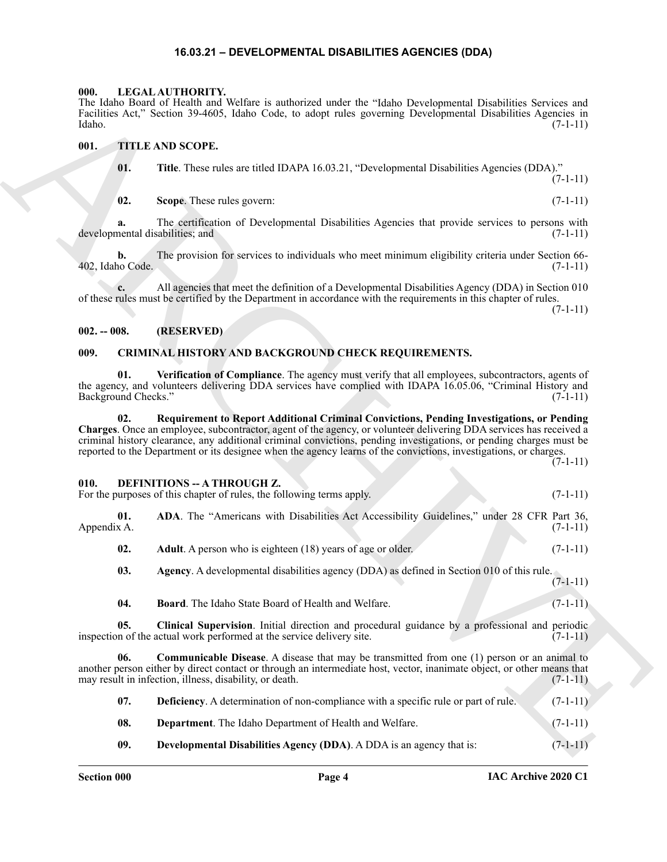# **16.03.21 – DEVELOPMENTAL DISABILITIES AGENCIES (DDA)**

#### <span id="page-3-19"></span><span id="page-3-1"></span><span id="page-3-0"></span>**000. LEGAL AUTHORITY.**

#### <span id="page-3-20"></span><span id="page-3-2"></span>**001. TITLE AND SCOPE.**

#### <span id="page-3-3"></span>**002. -- 008. (RESERVED)**

# <span id="page-3-8"></span><span id="page-3-7"></span><span id="page-3-6"></span><span id="page-3-4"></span>**009. CRIMINAL HISTORY AND BACKGROUND CHECK REQUIREMENTS.**

#### <span id="page-3-9"></span><span id="page-3-5"></span>**010. DEFINITIONS -- A THROUGH Z.**

<span id="page-3-18"></span><span id="page-3-17"></span><span id="page-3-16"></span><span id="page-3-15"></span><span id="page-3-14"></span><span id="page-3-13"></span><span id="page-3-12"></span><span id="page-3-11"></span><span id="page-3-10"></span>

| ------ |                                                                       |  |            |
|--------|-----------------------------------------------------------------------|--|------------|
|        | For the purposes of this chapter of rules, the following terms apply. |  | $(7-1-11)$ |

| Idaho.                                | The Idaho Board of Health and Welfare is authorized under the "Idaho Developmental Disabilities Services and<br>Facilities Act," Section 39-4605, Idaho Code, to adopt rules governing Developmental Disabilities Agencies in                                                                                                                                                                                                                               | $(7-1-11)$ |
|---------------------------------------|-------------------------------------------------------------------------------------------------------------------------------------------------------------------------------------------------------------------------------------------------------------------------------------------------------------------------------------------------------------------------------------------------------------------------------------------------------------|------------|
| 001.                                  | TITLE AND SCOPE.                                                                                                                                                                                                                                                                                                                                                                                                                                            |            |
| 01.                                   | Title. These rules are titled IDAPA 16.03.21, "Developmental Disabilities Agencies (DDA)."                                                                                                                                                                                                                                                                                                                                                                  | $(7-1-11)$ |
| 02.                                   | Scope. These rules govern:                                                                                                                                                                                                                                                                                                                                                                                                                                  | $(7-1-11)$ |
| a.<br>developmental disabilities; and | The certification of Developmental Disabilities Agencies that provide services to persons with                                                                                                                                                                                                                                                                                                                                                              | $(7-1-11)$ |
| b.<br>402, Idaho Code.                | The provision for services to individuals who meet minimum eligibility criteria under Section 66-                                                                                                                                                                                                                                                                                                                                                           | $(7-1-11)$ |
|                                       | All agencies that meet the definition of a Developmental Disabilities Agency (DDA) in Section 010<br>of these rules must be certified by the Department in accordance with the requirements in this chapter of rules.                                                                                                                                                                                                                                       | $(7-1-11)$ |
| $002. - 008.$                         | (RESERVED)                                                                                                                                                                                                                                                                                                                                                                                                                                                  |            |
| 009.                                  | CRIMINAL HISTORY AND BACKGROUND CHECK REQUIREMENTS.                                                                                                                                                                                                                                                                                                                                                                                                         |            |
| 01.<br>Background Checks."            | Verification of Compliance. The agency must verify that all employees, subcontractors, agents of<br>the agency, and volunteers delivering DDA services have complied with IDAPA 16.05.06, "Criminal History and                                                                                                                                                                                                                                             | $(7-1-11)$ |
| 02.                                   | Requirement to Report Additional Criminal Convictions, Pending Investigations, or Pending<br>Charges. Once an employee, subcontractor, agent of the agency, or volunteer delivering DDA services has received a<br>criminal history clearance, any additional criminal convictions, pending investigations, or pending charges must be<br>reported to the Department or its designee when the agency learns of the convictions, investigations, or charges. | $(7-1-11)$ |
| 010.                                  | <b>DEFINITIONS -- A THROUGH Z.</b><br>For the purposes of this chapter of rules, the following terms apply.                                                                                                                                                                                                                                                                                                                                                 | $(7-1-11)$ |
| 01.<br>Appendix A.                    | ADA. The "Americans with Disabilities Act Accessibility Guidelines," under 28 CFR Part 36,                                                                                                                                                                                                                                                                                                                                                                  | $(7-1-11)$ |
| 02.                                   | Adult. A person who is eighteen (18) years of age or older.                                                                                                                                                                                                                                                                                                                                                                                                 | $(7-1-11)$ |
| 03.                                   | Agency. A developmental disabilities agency (DDA) as defined in Section 010 of this rule.                                                                                                                                                                                                                                                                                                                                                                   | $(7-1-11)$ |
| 04.                                   | Board. The Idaho State Board of Health and Welfare.                                                                                                                                                                                                                                                                                                                                                                                                         | $(7-1-11)$ |
| 05.                                   | Clinical Supervision. Initial direction and procedural guidance by a professional and periodic<br>inspection of the actual work performed at the service delivery site.                                                                                                                                                                                                                                                                                     | $(7-1-11)$ |
| 06.                                   | Communicable Disease. A disease that may be transmitted from one (1) person or an animal to<br>another person either by direct contact or through an intermediate host, vector, inanimate object, or other means that<br>may result in infection, illness, disability, or death.                                                                                                                                                                            | $(7-1-11)$ |
| 07.                                   | Deficiency. A determination of non-compliance with a specific rule or part of rule.                                                                                                                                                                                                                                                                                                                                                                         | $(7-1-11)$ |
| 08.                                   | Department. The Idaho Department of Health and Welfare.                                                                                                                                                                                                                                                                                                                                                                                                     | $(7-1-11)$ |
| 09.                                   | Developmental Disabilities Agency (DDA). A DDA is an agency that is:                                                                                                                                                                                                                                                                                                                                                                                        | $(7-1-11)$ |
|                                       |                                                                                                                                                                                                                                                                                                                                                                                                                                                             |            |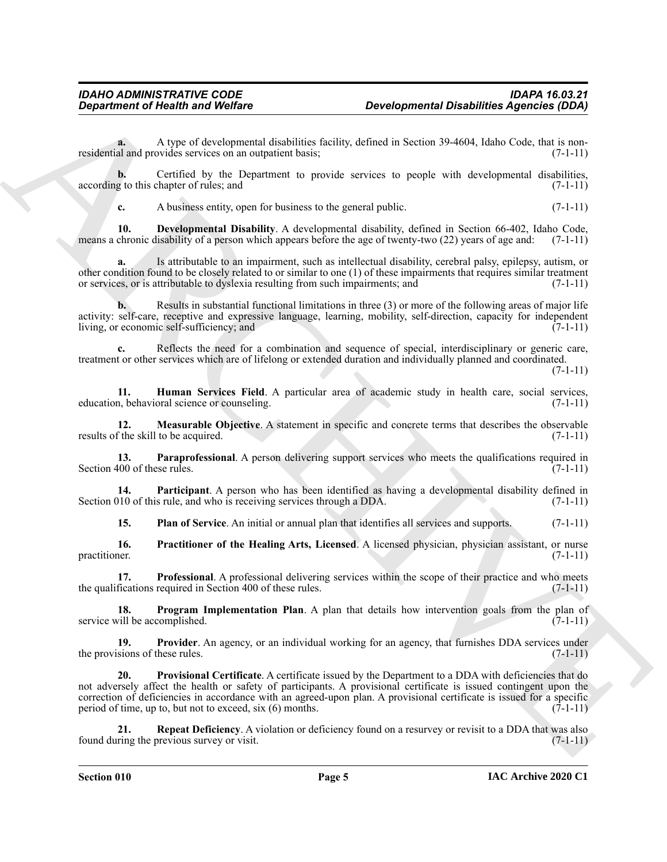**a.** A type of developmental disabilities facility, defined in Section 39-4604, Idaho Code, that is nonresidential and provides services on an outpatient basis; (7-1-11) (7-1-11)

**b.** Certified by the Department to provide services to people with developmental disabilities, according to this chapter of rules; and  $(7-1-11)$ 

<span id="page-4-0"></span>**c.** A business entity, open for business to the general public. (7-1-11)

**10. Developmental Disability**. A developmental disability, defined in Section 66-402, Idaho Code, means a chronic disability of a person which appears before the age of twenty-two (22) years of age and: (7-1-11)

**a.** Is attributable to an impairment, such as intellectual disability, cerebral palsy, epilepsy, autism, or other condition found to be closely related to or similar to one (1) of these impairments that requires similar treatment or services, or is attributable to dyslexia resulting from such impairments; and (7-1-11)

**b.** Results in substantial functional limitations in three (3) or more of the following areas of major life activity: self-care, receptive and expressive language, learning, mobility, self-direction, capacity for independent living, or economic self-sufficiency; and (7-1-11)

**c.** Reflects the need for a combination and sequence of special, interdisciplinary or generic care, treatment or other services which are of lifelong or extended duration and individually planned and coordinated.

(7-1-11)

<span id="page-4-1"></span>**11. Human Services Field**. A particular area of academic study in health care, social services, <br>1. behavioral science or counseling. education, behavioral science or counseling.

<span id="page-4-2"></span>**12. Measurable Objective**. A statement in specific and concrete terms that describes the observable results of the skill to be acquired. (7-1-11)

<span id="page-4-3"></span>**13. Paraprofessional**. A person delivering support services who meets the qualifications required in Section 400 of these rules. (7-1-11)

**14. Participant**. A person who has been identified as having a developmental disability defined in 10 of this rule, and who is receiving services through a DDA. (7-1-11) Section 010 of this rule, and who is receiving services through a DDA.

<span id="page-4-7"></span><span id="page-4-6"></span><span id="page-4-5"></span><span id="page-4-4"></span>**15. Plan of Service**. An initial or annual plan that identifies all services and supports. (7-1-11)

**16.** Practitioner of the Healing Arts, Licensed. A licensed physician, physician assistant, or nurse practitioner. (7-1-11) practitioner.  $(7-1-11)$ 

**17. Professional**. A professional delivering services within the scope of their practice and who meets the qualifications required in Section 400 of these rules. (7-1-11)

<span id="page-4-8"></span>**18. Program Implementation Plan**. A plan that details how intervention goals from the plan of (7-1-11) (7-1-11) service will be accomplished.

<span id="page-4-10"></span><span id="page-4-9"></span>**19. Provider**. An agency, or an individual working for an agency, that furnishes DDA services under the provisions of these rules.  $(7-1-11)$ 

**Department of Nearth and Wolfins**<br>
According that the contemporal deported a provide a signification of the state of the contemporal deported in the state of the contemporal deported in the state of the contemporal depor **20. Provisional Certificate**. A certificate issued by the Department to a DDA with deficiencies that do not adversely affect the health or safety of participants. A provisional certificate is issued contingent upon the correction of deficiencies in accordance with an agreed-upon plan. A provisional certificate is issued for a specific period of time, up to, but not to exceed, six  $(6)$  months.  $(7-1-11)$ 

<span id="page-4-11"></span>**21. Repeat Deficiency**. A violation or deficiency found on a resurvey or revisit to a DDA that was also found during the previous survey or visit. (7-1-11)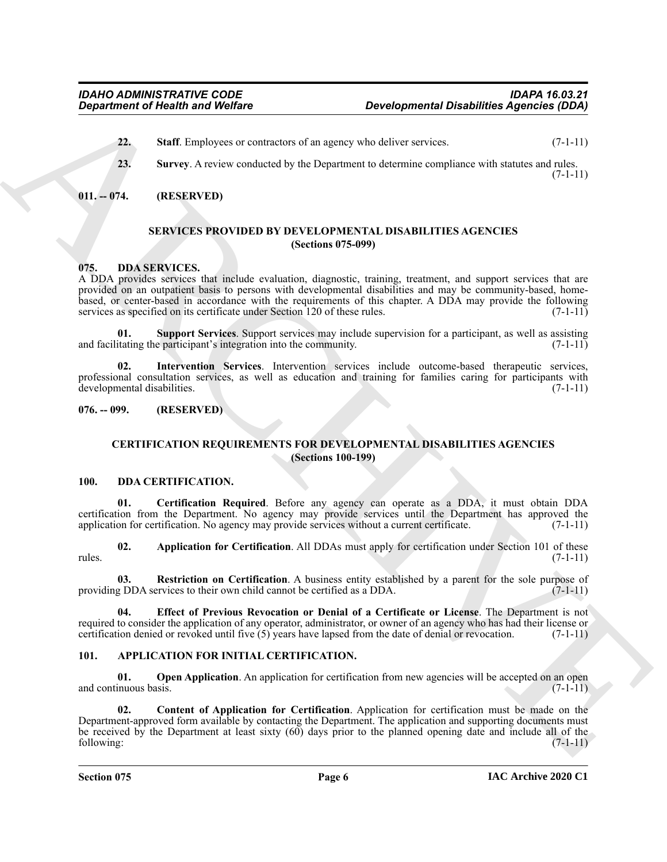- <span id="page-5-19"></span>**22. Staff**. Employees or contractors of an agency who deliver services. (7-1-11)
- <span id="page-5-20"></span>**23. Survey**. A review conducted by the Department to determine compliance with statutes and rules.  $(7-1-11)$

<span id="page-5-1"></span><span id="page-5-0"></span>**011. -- 074. (RESERVED)**

# <span id="page-5-21"></span>**SERVICES PROVIDED BY DEVELOPMENTAL DISABILITIES AGENCIES (Sections 075-099)**

# <span id="page-5-16"></span><span id="page-5-2"></span>**075. DDA SERVICES.**

A DDA provides services that include evaluation, diagnostic, training, treatment, and support services that are provided on an outpatient basis to persons with developmental disabilities and may be community-based, homebased, or center-based in accordance with the requirements of this chapter. A DDA may provide the following services as specified on its certificate under Section 120 of these rules. (7-1-11) (7-1-11)

<span id="page-5-18"></span>**01. Support Services**. Support services may include supervision for a participant, as well as assisting and facilitating the participant's integration into the community.  $(7-1-11)$ 

<span id="page-5-17"></span>**02. Intervention Services**. Intervention services include outcome-based therapeutic services, professional consultation services, as well as education and training for families caring for participants with developmental disabilities. (7-1-11)

#### <span id="page-5-4"></span><span id="page-5-3"></span>**076. -- 099. (RESERVED)**

# <span id="page-5-13"></span><span id="page-5-11"></span><span id="page-5-10"></span>**CERTIFICATION REQUIREMENTS FOR DEVELOPMENTAL DISABILITIES AGENCIES (Sections 100-199)**

#### <span id="page-5-5"></span>**100. DDA CERTIFICATION.**

**01. Certification Required**. Before any agency can operate as a DDA, it must obtain DDA certification from the Department. No agency may provide services until the Department has approved the application for certification. No agency may provide services without a current certificate. (7-1-11)

<span id="page-5-12"></span>**02. Application for Certification**. All DDAs must apply for certification under Section 101 of these rules. (7-1-11)

<span id="page-5-15"></span>**03. Restriction on Certification**. A business entity established by a parent for the sole purpose of providing DDA services to their own child cannot be certified as a DDA. (7-1-11)

<span id="page-5-14"></span>**04. Effect of Previous Revocation or Denial of a Certificate or License**. The Department is not required to consider the application of any operator, administrator, or owner of an agency who has had their license or certification denied or revoked until five  $(5)$  years have lapsed from the date of denial or revocation.  $(7-1-11)$ 

# <span id="page-5-7"></span><span id="page-5-6"></span>**101. APPLICATION FOR INITIAL CERTIFICATION.**

<span id="page-5-9"></span><span id="page-5-8"></span>**01.** Open Application. An application for certification from new agencies will be accepted on an open and continuous basis. (7-1-11)

**Expansion of Health and Wolfins<br>
22.** Stuff. European or continuous of an agency who determines to consider a specific (DDA)<br>
23. Stuff. European or continuous or determines to docume compleme with ratio and  $\alpha$  in the **02. Content of Application for Certification**. Application for certification must be made on the Department-approved form available by contacting the Department. The application and supporting documents must be received by the Department at least sixty (60) days prior to the planned opening date and include all of the following: (7-1-11)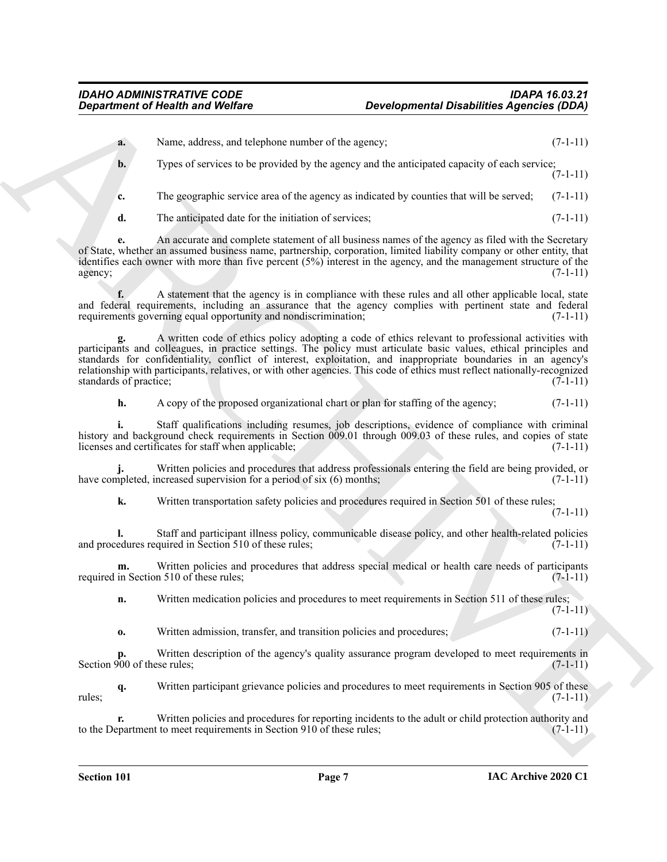**a.** Name, address, and telephone number of the agency; (7-1-11) **b.** Types of services to be provided by the agency and the anticipated capacity of each service;  $(7-1-11)$ 

**c.** The geographic service area of the agency as indicated by counties that will be served; (7-1-11)

**d.** The anticipated date for the initiation of services; (7-1-11)

**e.** An accurate and complete statement of all business names of the agency as filed with the Secretary of State, whether an assumed business name, partnership, corporation, limited liability company or other entity, that identifies each owner with more than five percent (5%) interest in the agency, and the management structure of the  $a$ gency;  $(7-1-11)$ 

**f.** A statement that the agency is in compliance with these rules and all other applicable local, state and federal requirements, including an assurance that the agency complies with pertinent state and federal requirements governing equal opportunity and nondiscrimination; (7-1-11) (7-1-11)

**Experiment of Nearly Modern Constraints of New Applications and the subset of the subset of New Applications and Constraints of New Applications and Constraints of New Applications are the subset of New Applications and g.** A written code of ethics policy adopting a code of ethics relevant to professional activities with participants and colleagues, in practice settings. The policy must articulate basic values, ethical principles and standards for confidentiality, conflict of interest, exploitation, and inappropriate boundaries in an agency's relationship with participants, relatives, or with other agencies. This code of ethics must reflect nationally-recognized standards of practice; (7-1-11)

**h.** A copy of the proposed organizational chart or plan for staffing of the agency; (7-1-11)

**i.** Staff qualifications including resumes, job descriptions, evidence of compliance with criminal history and background check requirements in Section 009.01 through 009.03 of these rules, and copies of state licenses and certificates for staff when applicable; (7-1-11)

**j.** Written policies and procedures that address professionals entering the field are being provided, or have completed, increased supervision for a period of six  $(6)$  months;  $(7-1-11)$ 

**k.** Written transportation safety policies and procedures required in Section 501 of these rules;

(7-1-11)

**l.** Staff and participant illness policy, communicable disease policy, and other health-related policies and procedures required in Section 510 of these rules; (7-1-11)

**m.** Written policies and procedures that address special medical or health care needs of participants required in Section 510 of these rules; (7-1-11)

**n.** Written medication policies and procedures to meet requirements in Section 511 of these rules;  $(7-1-11)$ 

**o.** Written admission, transfer, and transition policies and procedures; (7-1-11)

**p.** Written description of the agency's quality assurance program developed to meet requirements in 000 of these rules; Section 900 of these rules:

**q.** Written participant grievance policies and procedures to meet requirements in Section 905 of these rules;  $(7-1-11)$ 

**r.** Written policies and procedures for reporting incidents to the adult or child protection authority and to the Department to meet requirements in Section 910 of these rules;  $(7-1-11)$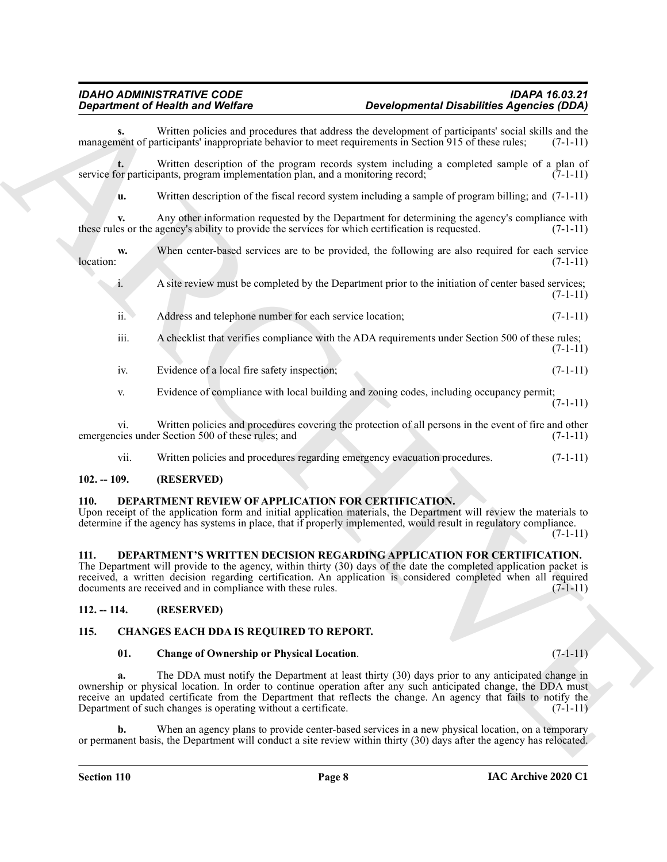| Written policies and procedures that address the development of participants' social skills and the<br>s.<br>management of participants' inappropriate behavior to meet requirements in Section 915 of these rules;<br>Written description of the program records system including a completed sample of a plan of<br>service for participants, program implementation plan, and a monitoring record;<br>Written description of the fiscal record system including a sample of program billing; and $(7-1-11)$<br>u.<br>Any other information requested by the Department for determining the agency's compliance with<br>v.<br>these rules or the agency's ability to provide the services for which certification is requested.<br>When center-based services are to be provided, the following are also required for each service<br>w.<br>location:<br>A site review must be completed by the Department prior to the initiation of center based services;<br>1.<br>Address and telephone number for each service location;<br>ii.<br>iii.<br>A checklist that verifies compliance with the ADA requirements under Section 500 of these rules;<br>Evidence of a local fire safety inspection;<br>iv.<br>Evidence of compliance with local building and zoning codes, including occupancy permit;<br>V.<br>Written policies and procedures covering the protection of all persons in the event of fire and other<br>$\overline{vi}$ .<br>emergencies under Section 500 of these rules; and<br>Written policies and procedures regarding emergency evacuation procedures.<br>vii.<br>$102. - 109.$<br>(RESERVED)<br>DEPARTMENT REVIEW OF APPLICATION FOR CERTIFICATION.<br><b>110.</b><br>Upon receipt of the application form and initial application materials, the Department will review the materials to<br>determine if the agency has systems in place, that if properly implemented, would result in regulatory compliance.<br>DEPARTMENT'S WRITTEN DECISION REGARDING APPLICATION FOR CERTIFICATION.<br>111.<br>The Department will provide to the agency, within thirty (30) days of the date the completed application packet is<br>received, a written decision regarding certification. An application is considered completed when all required<br>documents are received and in compliance with these rules.<br>$(7-1-11)$<br>$112. - 114.$<br>(RESERVED)<br>115.<br>CHANGES EACH DDA IS REQUIRED TO REPORT.<br>01.<br>$(7-1-11)$<br><b>Change of Ownership or Physical Location.</b><br>The DDA must notify the Department at least thirty (30) days prior to any anticipated change in<br>a.<br>ownership or physical location. In order to continue operation after any such anticipated change, the DDA must<br>receive an updated certificate from the Department that reflects the change. An agency that fails to notify the<br>Department of such changes is operating without a certificate.<br>When an agency plans to provide center-based services in a new physical location, on a temporary<br>b.<br>or permanent basis, the Department will conduct a site review within thirty (30) days after the agency has relocated. | <b>Department of Health and Welfare</b> | <b>Developmental Disabilities Agencies (DDA)</b> |            |
|-----------------------------------------------------------------------------------------------------------------------------------------------------------------------------------------------------------------------------------------------------------------------------------------------------------------------------------------------------------------------------------------------------------------------------------------------------------------------------------------------------------------------------------------------------------------------------------------------------------------------------------------------------------------------------------------------------------------------------------------------------------------------------------------------------------------------------------------------------------------------------------------------------------------------------------------------------------------------------------------------------------------------------------------------------------------------------------------------------------------------------------------------------------------------------------------------------------------------------------------------------------------------------------------------------------------------------------------------------------------------------------------------------------------------------------------------------------------------------------------------------------------------------------------------------------------------------------------------------------------------------------------------------------------------------------------------------------------------------------------------------------------------------------------------------------------------------------------------------------------------------------------------------------------------------------------------------------------------------------------------------------------------------------------------------------------------------------------------------------------------------------------------------------------------------------------------------------------------------------------------------------------------------------------------------------------------------------------------------------------------------------------------------------------------------------------------------------------------------------------------------------------------------------------------------------------------------------------------------------------------------------------------------------------------------------------------------------------------------------------------------------------------------------------------------------------------------------------------------------------------------------------------------------------------------------------------------------------------------------------------------------------------------------------------------------------------------------------------------------------------------------------------------------|-----------------------------------------|--------------------------------------------------|------------|
|                                                                                                                                                                                                                                                                                                                                                                                                                                                                                                                                                                                                                                                                                                                                                                                                                                                                                                                                                                                                                                                                                                                                                                                                                                                                                                                                                                                                                                                                                                                                                                                                                                                                                                                                                                                                                                                                                                                                                                                                                                                                                                                                                                                                                                                                                                                                                                                                                                                                                                                                                                                                                                                                                                                                                                                                                                                                                                                                                                                                                                                                                                                                                           |                                         |                                                  | $(7-1-11)$ |
|                                                                                                                                                                                                                                                                                                                                                                                                                                                                                                                                                                                                                                                                                                                                                                                                                                                                                                                                                                                                                                                                                                                                                                                                                                                                                                                                                                                                                                                                                                                                                                                                                                                                                                                                                                                                                                                                                                                                                                                                                                                                                                                                                                                                                                                                                                                                                                                                                                                                                                                                                                                                                                                                                                                                                                                                                                                                                                                                                                                                                                                                                                                                                           |                                         |                                                  | $(7-1-11)$ |
|                                                                                                                                                                                                                                                                                                                                                                                                                                                                                                                                                                                                                                                                                                                                                                                                                                                                                                                                                                                                                                                                                                                                                                                                                                                                                                                                                                                                                                                                                                                                                                                                                                                                                                                                                                                                                                                                                                                                                                                                                                                                                                                                                                                                                                                                                                                                                                                                                                                                                                                                                                                                                                                                                                                                                                                                                                                                                                                                                                                                                                                                                                                                                           |                                         |                                                  |            |
|                                                                                                                                                                                                                                                                                                                                                                                                                                                                                                                                                                                                                                                                                                                                                                                                                                                                                                                                                                                                                                                                                                                                                                                                                                                                                                                                                                                                                                                                                                                                                                                                                                                                                                                                                                                                                                                                                                                                                                                                                                                                                                                                                                                                                                                                                                                                                                                                                                                                                                                                                                                                                                                                                                                                                                                                                                                                                                                                                                                                                                                                                                                                                           |                                         |                                                  | $(7-1-11)$ |
|                                                                                                                                                                                                                                                                                                                                                                                                                                                                                                                                                                                                                                                                                                                                                                                                                                                                                                                                                                                                                                                                                                                                                                                                                                                                                                                                                                                                                                                                                                                                                                                                                                                                                                                                                                                                                                                                                                                                                                                                                                                                                                                                                                                                                                                                                                                                                                                                                                                                                                                                                                                                                                                                                                                                                                                                                                                                                                                                                                                                                                                                                                                                                           |                                         |                                                  | $(7-1-11)$ |
|                                                                                                                                                                                                                                                                                                                                                                                                                                                                                                                                                                                                                                                                                                                                                                                                                                                                                                                                                                                                                                                                                                                                                                                                                                                                                                                                                                                                                                                                                                                                                                                                                                                                                                                                                                                                                                                                                                                                                                                                                                                                                                                                                                                                                                                                                                                                                                                                                                                                                                                                                                                                                                                                                                                                                                                                                                                                                                                                                                                                                                                                                                                                                           |                                         |                                                  | $(7-1-11)$ |
|                                                                                                                                                                                                                                                                                                                                                                                                                                                                                                                                                                                                                                                                                                                                                                                                                                                                                                                                                                                                                                                                                                                                                                                                                                                                                                                                                                                                                                                                                                                                                                                                                                                                                                                                                                                                                                                                                                                                                                                                                                                                                                                                                                                                                                                                                                                                                                                                                                                                                                                                                                                                                                                                                                                                                                                                                                                                                                                                                                                                                                                                                                                                                           |                                         |                                                  | $(7-1-11)$ |
|                                                                                                                                                                                                                                                                                                                                                                                                                                                                                                                                                                                                                                                                                                                                                                                                                                                                                                                                                                                                                                                                                                                                                                                                                                                                                                                                                                                                                                                                                                                                                                                                                                                                                                                                                                                                                                                                                                                                                                                                                                                                                                                                                                                                                                                                                                                                                                                                                                                                                                                                                                                                                                                                                                                                                                                                                                                                                                                                                                                                                                                                                                                                                           |                                         |                                                  | $(7-1-11)$ |
|                                                                                                                                                                                                                                                                                                                                                                                                                                                                                                                                                                                                                                                                                                                                                                                                                                                                                                                                                                                                                                                                                                                                                                                                                                                                                                                                                                                                                                                                                                                                                                                                                                                                                                                                                                                                                                                                                                                                                                                                                                                                                                                                                                                                                                                                                                                                                                                                                                                                                                                                                                                                                                                                                                                                                                                                                                                                                                                                                                                                                                                                                                                                                           |                                         |                                                  | $(7-1-11)$ |
|                                                                                                                                                                                                                                                                                                                                                                                                                                                                                                                                                                                                                                                                                                                                                                                                                                                                                                                                                                                                                                                                                                                                                                                                                                                                                                                                                                                                                                                                                                                                                                                                                                                                                                                                                                                                                                                                                                                                                                                                                                                                                                                                                                                                                                                                                                                                                                                                                                                                                                                                                                                                                                                                                                                                                                                                                                                                                                                                                                                                                                                                                                                                                           |                                         |                                                  | $(7-1-11)$ |
|                                                                                                                                                                                                                                                                                                                                                                                                                                                                                                                                                                                                                                                                                                                                                                                                                                                                                                                                                                                                                                                                                                                                                                                                                                                                                                                                                                                                                                                                                                                                                                                                                                                                                                                                                                                                                                                                                                                                                                                                                                                                                                                                                                                                                                                                                                                                                                                                                                                                                                                                                                                                                                                                                                                                                                                                                                                                                                                                                                                                                                                                                                                                                           |                                         |                                                  | $(7-1-11)$ |
|                                                                                                                                                                                                                                                                                                                                                                                                                                                                                                                                                                                                                                                                                                                                                                                                                                                                                                                                                                                                                                                                                                                                                                                                                                                                                                                                                                                                                                                                                                                                                                                                                                                                                                                                                                                                                                                                                                                                                                                                                                                                                                                                                                                                                                                                                                                                                                                                                                                                                                                                                                                                                                                                                                                                                                                                                                                                                                                                                                                                                                                                                                                                                           |                                         |                                                  | $(7-1-11)$ |
|                                                                                                                                                                                                                                                                                                                                                                                                                                                                                                                                                                                                                                                                                                                                                                                                                                                                                                                                                                                                                                                                                                                                                                                                                                                                                                                                                                                                                                                                                                                                                                                                                                                                                                                                                                                                                                                                                                                                                                                                                                                                                                                                                                                                                                                                                                                                                                                                                                                                                                                                                                                                                                                                                                                                                                                                                                                                                                                                                                                                                                                                                                                                                           |                                         |                                                  |            |
|                                                                                                                                                                                                                                                                                                                                                                                                                                                                                                                                                                                                                                                                                                                                                                                                                                                                                                                                                                                                                                                                                                                                                                                                                                                                                                                                                                                                                                                                                                                                                                                                                                                                                                                                                                                                                                                                                                                                                                                                                                                                                                                                                                                                                                                                                                                                                                                                                                                                                                                                                                                                                                                                                                                                                                                                                                                                                                                                                                                                                                                                                                                                                           |                                         |                                                  | $(7-1-11)$ |
|                                                                                                                                                                                                                                                                                                                                                                                                                                                                                                                                                                                                                                                                                                                                                                                                                                                                                                                                                                                                                                                                                                                                                                                                                                                                                                                                                                                                                                                                                                                                                                                                                                                                                                                                                                                                                                                                                                                                                                                                                                                                                                                                                                                                                                                                                                                                                                                                                                                                                                                                                                                                                                                                                                                                                                                                                                                                                                                                                                                                                                                                                                                                                           |                                         |                                                  |            |
|                                                                                                                                                                                                                                                                                                                                                                                                                                                                                                                                                                                                                                                                                                                                                                                                                                                                                                                                                                                                                                                                                                                                                                                                                                                                                                                                                                                                                                                                                                                                                                                                                                                                                                                                                                                                                                                                                                                                                                                                                                                                                                                                                                                                                                                                                                                                                                                                                                                                                                                                                                                                                                                                                                                                                                                                                                                                                                                                                                                                                                                                                                                                                           |                                         |                                                  |            |
|                                                                                                                                                                                                                                                                                                                                                                                                                                                                                                                                                                                                                                                                                                                                                                                                                                                                                                                                                                                                                                                                                                                                                                                                                                                                                                                                                                                                                                                                                                                                                                                                                                                                                                                                                                                                                                                                                                                                                                                                                                                                                                                                                                                                                                                                                                                                                                                                                                                                                                                                                                                                                                                                                                                                                                                                                                                                                                                                                                                                                                                                                                                                                           |                                         |                                                  |            |
|                                                                                                                                                                                                                                                                                                                                                                                                                                                                                                                                                                                                                                                                                                                                                                                                                                                                                                                                                                                                                                                                                                                                                                                                                                                                                                                                                                                                                                                                                                                                                                                                                                                                                                                                                                                                                                                                                                                                                                                                                                                                                                                                                                                                                                                                                                                                                                                                                                                                                                                                                                                                                                                                                                                                                                                                                                                                                                                                                                                                                                                                                                                                                           |                                         |                                                  |            |
|                                                                                                                                                                                                                                                                                                                                                                                                                                                                                                                                                                                                                                                                                                                                                                                                                                                                                                                                                                                                                                                                                                                                                                                                                                                                                                                                                                                                                                                                                                                                                                                                                                                                                                                                                                                                                                                                                                                                                                                                                                                                                                                                                                                                                                                                                                                                                                                                                                                                                                                                                                                                                                                                                                                                                                                                                                                                                                                                                                                                                                                                                                                                                           |                                         |                                                  | $(7-1-11)$ |
|                                                                                                                                                                                                                                                                                                                                                                                                                                                                                                                                                                                                                                                                                                                                                                                                                                                                                                                                                                                                                                                                                                                                                                                                                                                                                                                                                                                                                                                                                                                                                                                                                                                                                                                                                                                                                                                                                                                                                                                                                                                                                                                                                                                                                                                                                                                                                                                                                                                                                                                                                                                                                                                                                                                                                                                                                                                                                                                                                                                                                                                                                                                                                           |                                         |                                                  |            |

# <span id="page-7-0"></span>**102. -- 109. (RESERVED)**

# <span id="page-7-7"></span><span id="page-7-1"></span>**110. DEPARTMENT REVIEW OF APPLICATION FOR CERTIFICATION.**

#### <span id="page-7-8"></span><span id="page-7-2"></span>**111. DEPARTMENT'S WRITTEN DECISION REGARDING APPLICATION FOR CERTIFICATION.**

# <span id="page-7-3"></span>**112. -- 114. (RESERVED)**

# <span id="page-7-4"></span>**115. CHANGES EACH DDA IS REQUIRED TO REPORT.**

#### <span id="page-7-6"></span><span id="page-7-5"></span>**01. Change of Ownership or Physical Location**. (7-1-11)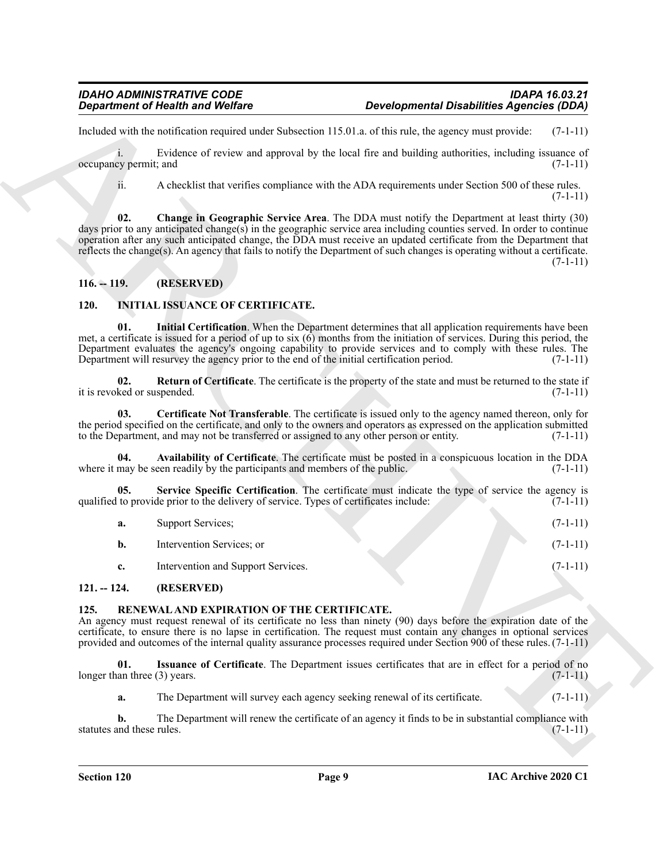# <span id="page-8-4"></span><span id="page-8-0"></span>**116. -- 119. (RESERVED)**

# <span id="page-8-9"></span><span id="page-8-8"></span><span id="page-8-7"></span><span id="page-8-5"></span><span id="page-8-1"></span>**120. INITIAL ISSUANCE OF CERTIFICATE.**

|                                     | <b>Department of Health and Welfare</b>                                                   | <b>Developmental Disabilities Agencies (DDA)</b>                                                                                                                                                                                                                                                                                                                                                                                                                       |            |  |
|-------------------------------------|-------------------------------------------------------------------------------------------|------------------------------------------------------------------------------------------------------------------------------------------------------------------------------------------------------------------------------------------------------------------------------------------------------------------------------------------------------------------------------------------------------------------------------------------------------------------------|------------|--|
|                                     |                                                                                           | Included with the notification required under Subsection 115.01.a. of this rule, the agency must provide:                                                                                                                                                                                                                                                                                                                                                              | $(7-1-11)$ |  |
| i.<br>occupancy permit; and         |                                                                                           | Evidence of review and approval by the local fire and building authorities, including issuance of                                                                                                                                                                                                                                                                                                                                                                      | $(7-1-11)$ |  |
| ii.                                 |                                                                                           | A checklist that verifies compliance with the ADA requirements under Section 500 of these rules.                                                                                                                                                                                                                                                                                                                                                                       | $(7-1-11)$ |  |
| 02.                                 |                                                                                           | Change in Geographic Service Area. The DDA must notify the Department at least thirty (30)<br>days prior to any anticipated change(s) in the geographic service area including counties served. In order to continue<br>operation after any such anticipated change, the DDA must receive an updated certificate from the Department that<br>reflects the change(s). An agency that fails to notify the Department of such changes is operating without a certificate. | $(7-1-11)$ |  |
| $116. - 119.$                       | (RESERVED)                                                                                |                                                                                                                                                                                                                                                                                                                                                                                                                                                                        |            |  |
| 120.                                | <b>INITIAL ISSUANCE OF CERTIFICATE.</b>                                                   |                                                                                                                                                                                                                                                                                                                                                                                                                                                                        |            |  |
| 01.                                 | Department will resurvey the agency prior to the end of the initial certification period. | Initial Certification. When the Department determines that all application requirements have been<br>met, a certificate is issued for a period of up to six $(6)$ months from the initiation of services. During this period, the<br>Department evaluates the agency's ongoing capability to provide services and to comply with these rules. The                                                                                                                      | $(7-1-11)$ |  |
| 02.<br>it is revoked or suspended.  |                                                                                           | <b>Return of Certificate.</b> The certificate is the property of the state and must be returned to the state if                                                                                                                                                                                                                                                                                                                                                        | $(7-1-11)$ |  |
| 03.                                 | to the Department, and may not be transferred or assigned to any other person or entity.  | Certificate Not Transferable. The certificate is issued only to the agency named thereon, only for<br>the period specified on the certificate, and only to the owners and operators as expressed on the application submitted                                                                                                                                                                                                                                          | $(7-1-11)$ |  |
| 04.                                 | where it may be seen readily by the participants and members of the public.               | Availability of Certificate. The certificate must be posted in a conspicuous location in the DDA                                                                                                                                                                                                                                                                                                                                                                       | $(7-1-11)$ |  |
| 05.                                 | qualified to provide prior to the delivery of service. Types of certificates include:     | Service Specific Certification. The certificate must indicate the type of service the agency is                                                                                                                                                                                                                                                                                                                                                                        | $(7-1-11)$ |  |
| a.                                  | Support Services;                                                                         |                                                                                                                                                                                                                                                                                                                                                                                                                                                                        | $(7-1-11)$ |  |
| b.                                  | Intervention Services; or                                                                 |                                                                                                                                                                                                                                                                                                                                                                                                                                                                        | $(7-1-11)$ |  |
| c.                                  | Intervention and Support Services.                                                        |                                                                                                                                                                                                                                                                                                                                                                                                                                                                        | $(7-1-11)$ |  |
| $121. - 124.$                       | (RESERVED)                                                                                |                                                                                                                                                                                                                                                                                                                                                                                                                                                                        |            |  |
| 125.                                | RENEWAL AND EXPIRATION OF THE CERTIFICATE.                                                | An agency must request renewal of its certificate no less than ninety (90) days before the expiration date of the<br>certificate, to ensure there is no lapse in certification. The request must contain any changes in optional services<br>provided and outcomes of the internal quality assurance processes required under Section 900 of these rules. $(7-1-11)$                                                                                                   |            |  |
| 01.<br>longer than three (3) years. |                                                                                           | Issuance of Certificate. The Department issues certificates that are in effect for a period of no                                                                                                                                                                                                                                                                                                                                                                      | $(7-1-11)$ |  |
| a.                                  | The Department will survey each agency seeking renewal of its certificate.                |                                                                                                                                                                                                                                                                                                                                                                                                                                                                        | $(7-1-11)$ |  |
| b.<br>statutes and these rules.     |                                                                                           | The Department will renew the certificate of an agency it finds to be in substantial compliance with                                                                                                                                                                                                                                                                                                                                                                   | $(7-1-11)$ |  |
|                                     |                                                                                           |                                                                                                                                                                                                                                                                                                                                                                                                                                                                        |            |  |
|                                     |                                                                                           |                                                                                                                                                                                                                                                                                                                                                                                                                                                                        |            |  |

# <span id="page-8-10"></span><span id="page-8-6"></span><span id="page-8-2"></span>**121. -- 124. (RESERVED)**

# <span id="page-8-12"></span><span id="page-8-11"></span><span id="page-8-3"></span>**125. RENEWAL AND EXPIRATION OF THE CERTIFICATE.**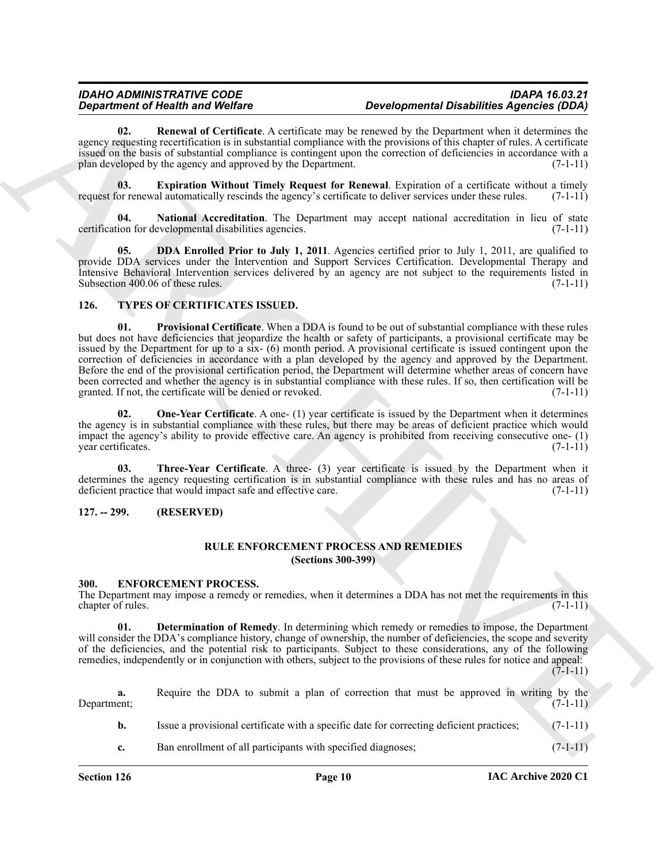# *IDAHO ADMINISTRATIVE CODE IDAPA 16.03.21 Developmental Disabilities Agencies (DDA)*

<span id="page-9-9"></span>**02. Renewal of Certificate**. A certificate may be renewed by the Department when it determines the agency requesting recertification is in substantial compliance with the provisions of this chapter of rules. A certificate issued on the basis of substantial compliance is contingent upon the correction of deficiencies in accordance with a plan developed by the agency and approved by the Department. (7-1-11)

<span id="page-9-7"></span>**03. Expiration Without Timely Request for Renewal**. Expiration of a certificate without a timely or renewal automatically rescinds the agency's certificate to deliver services under these rules. (7-1-11) request for renewal automatically rescinds the agency's certificate to deliver services under these rules.

<span id="page-9-8"></span>**04. National Accreditation**. The Department may accept national accreditation in lieu of state certification for developmental disabilities agencies. (7-1-11)

<span id="page-9-6"></span>**05. DDA Enrolled Prior to July 1, 2011**. Agencies certified prior to July 1, 2011, are qualified to provide DDA services under the Intervention and Support Services Certification. Developmental Therapy and Intensive Behavioral Intervention services delivered by an agency are not subject to the requirements listed in Subsection 400.06 of these rules.  $(7-1-11)$ 

#### <span id="page-9-13"></span><span id="page-9-11"></span><span id="page-9-0"></span>**126. TYPES OF CERTIFICATES ISSUED.**

**Equivariant of New York Contrast Constraints are the energy of the Euckletin Application Application Action 10.2**<br>
New York Constraints and the system of the system of the system of the energy of the energy of the system **01. Provisional Certificate**. When a DDA is found to be out of substantial compliance with these rules but does not have deficiencies that jeopardize the health or safety of participants, a provisional certificate may be issued by the Department for up to a six- (6) month period. A provisional certificate is issued contingent upon the correction of deficiencies in accordance with a plan developed by the agency and approved by the Department. Before the end of the provisional certification period, the Department will determine whether areas of concern have been corrected and whether the agency is in substantial compliance with these rules. If so, then certification will be granted. If not, the certificate will be denied or revoked. (7-1-11)

<span id="page-9-12"></span>**02.** One-Year Certificate. A one- (1) year certificate is issued by the Department when it determines the agency is in substantial compliance with these rules, but there may be areas of deficient practice which would impact the agency's ability to provide effective care. An agency is prohibited from receiving consecutive one- (1) year certificates. (7-1-11)

<span id="page-9-14"></span>**03. Three-Year Certificate**. A three- (3) year certificate is issued by the Department when it determines the agency requesting certification is in substantial compliance with these rules and has no areas of deficient practice that would impact safe and effective care. (7-1-11)

# <span id="page-9-2"></span><span id="page-9-1"></span>**127. -- 299. (RESERVED)**

# <span id="page-9-10"></span>**RULE ENFORCEMENT PROCESS AND REMEDIES (Sections 300-399)**

#### <span id="page-9-4"></span><span id="page-9-3"></span>**300. ENFORCEMENT PROCESS.**

The Department may impose a remedy or remedies, when it determines a DDA has not met the requirements in this chapter of rules. (7-1-11) (7-1-11)

<span id="page-9-5"></span>**01. Determination of Remedy**. In determining which remedy or remedies to impose, the Department will consider the DDA's compliance history, change of ownership, the number of deficiencies, the scope and severity of the deficiencies, and the potential risk to participants. Subject to these considerations, any of the following remedies, independently or in conjunction with others, subject to the provisions of these rules for notice and appeal:  $(7-1-11)$ 

**a.** Require the DDA to submit a plan of correction that must be approved in writing by the Department; (7-1-11) **b.** Issue a provisional certificate with a specific date for correcting deficient practices; (7-1-11)

**c.** Ban enrollment of all participants with specified diagnoses;  $(7-1-11)$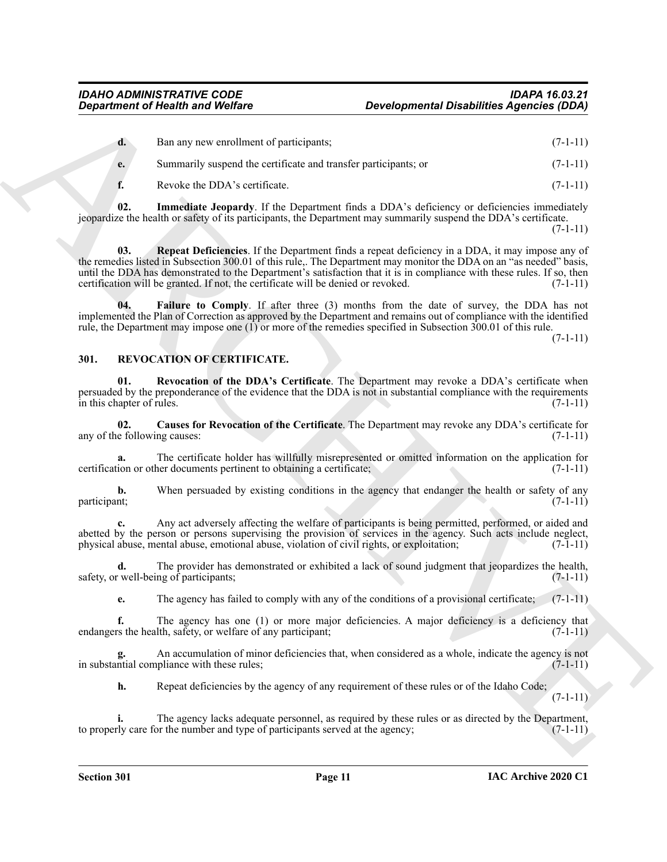| Ban any new enrollment of participants;<br>d.<br>Summarily suspend the certificate and transfer participants; or<br>e.<br>f.<br>Revoke the DDA's certificate.<br>Immediate Jeopardy. If the Department finds a DDA's deficiency or deficiencies immediately<br>02.<br>jeopardize the health or safety of its participants, the Department may summarily suspend the DDA's certificate.<br><b>Repeat Deficiencies.</b> If the Department finds a repeat deficiency in a DDA, it may impose any of<br>03.<br>the remedies listed in Subsection 300.01 of this rule,. The Department may monitor the DDA on an "as needed" basis,<br>until the DDA has demonstrated to the Department's satisfaction that it is in compliance with these rules. If so, then<br>certification will be granted. If not, the certificate will be denied or revoked.<br><b>Failure to Comply.</b> If after three (3) months from the date of survey, the DDA has not<br>04.<br>implemented the Plan of Correction as approved by the Department and remains out of compliance with the identified<br>rule, the Department may impose one $(1)$ or more of the remedies specified in Subsection 300.01 of this rule.<br>REVOCATION OF CERTIFICATE.<br>301.<br>Revocation of the DDA's Certificate. The Department may revoke a DDA's certificate when<br>01.<br>persuaded by the preponderance of the evidence that the DDA is not in substantial compliance with the requirements<br>in this chapter of rules.<br>Causes for Revocation of the Certificate. The Department may revoke any DDA's certificate for<br>02.<br>any of the following causes:<br>The certificate holder has willfully misrepresented or omitted information on the application for<br>a.<br>certification or other documents pertinent to obtaining a certificate;<br>When persuaded by existing conditions in the agency that endanger the health or safety of any<br>b.<br>participant;<br>Any act adversely affecting the welfare of participants is being permitted, performed, or aided and<br>abetted by the person or persons supervising the provision of services in the agency. Such acts include neglect,<br>physical abuse, mental abuse, emotional abuse, violation of civil rights, or exploitation;<br>The provider has demonstrated or exhibited a lack of sound judgment that jeopardizes the health,<br>d.<br>safety, or well-being of participants;<br>The agency has failed to comply with any of the conditions of a provisional certificate;<br>e.<br>f.<br>The agency has one (1) or more major deficiencies. A major deficiency is a deficiency that<br>endangers the health, safety, or welfare of any participant; | <b>Developmental Disabilities Agencies (DDA)</b> |  |
|------------------------------------------------------------------------------------------------------------------------------------------------------------------------------------------------------------------------------------------------------------------------------------------------------------------------------------------------------------------------------------------------------------------------------------------------------------------------------------------------------------------------------------------------------------------------------------------------------------------------------------------------------------------------------------------------------------------------------------------------------------------------------------------------------------------------------------------------------------------------------------------------------------------------------------------------------------------------------------------------------------------------------------------------------------------------------------------------------------------------------------------------------------------------------------------------------------------------------------------------------------------------------------------------------------------------------------------------------------------------------------------------------------------------------------------------------------------------------------------------------------------------------------------------------------------------------------------------------------------------------------------------------------------------------------------------------------------------------------------------------------------------------------------------------------------------------------------------------------------------------------------------------------------------------------------------------------------------------------------------------------------------------------------------------------------------------------------------------------------------------------------------------------------------------------------------------------------------------------------------------------------------------------------------------------------------------------------------------------------------------------------------------------------------------------------------------------------------------------------------------------------------------------------------------------------------------------------------------------------------------------------------------------------------------------------------|--------------------------------------------------|--|
|                                                                                                                                                                                                                                                                                                                                                                                                                                                                                                                                                                                                                                                                                                                                                                                                                                                                                                                                                                                                                                                                                                                                                                                                                                                                                                                                                                                                                                                                                                                                                                                                                                                                                                                                                                                                                                                                                                                                                                                                                                                                                                                                                                                                                                                                                                                                                                                                                                                                                                                                                                                                                                                                                                | $(7-1-11)$                                       |  |
|                                                                                                                                                                                                                                                                                                                                                                                                                                                                                                                                                                                                                                                                                                                                                                                                                                                                                                                                                                                                                                                                                                                                                                                                                                                                                                                                                                                                                                                                                                                                                                                                                                                                                                                                                                                                                                                                                                                                                                                                                                                                                                                                                                                                                                                                                                                                                                                                                                                                                                                                                                                                                                                                                                | $(7-1-11)$                                       |  |
|                                                                                                                                                                                                                                                                                                                                                                                                                                                                                                                                                                                                                                                                                                                                                                                                                                                                                                                                                                                                                                                                                                                                                                                                                                                                                                                                                                                                                                                                                                                                                                                                                                                                                                                                                                                                                                                                                                                                                                                                                                                                                                                                                                                                                                                                                                                                                                                                                                                                                                                                                                                                                                                                                                | $(7-1-11)$                                       |  |
|                                                                                                                                                                                                                                                                                                                                                                                                                                                                                                                                                                                                                                                                                                                                                                                                                                                                                                                                                                                                                                                                                                                                                                                                                                                                                                                                                                                                                                                                                                                                                                                                                                                                                                                                                                                                                                                                                                                                                                                                                                                                                                                                                                                                                                                                                                                                                                                                                                                                                                                                                                                                                                                                                                | $(7-1-11)$                                       |  |
|                                                                                                                                                                                                                                                                                                                                                                                                                                                                                                                                                                                                                                                                                                                                                                                                                                                                                                                                                                                                                                                                                                                                                                                                                                                                                                                                                                                                                                                                                                                                                                                                                                                                                                                                                                                                                                                                                                                                                                                                                                                                                                                                                                                                                                                                                                                                                                                                                                                                                                                                                                                                                                                                                                | $(7-1-11)$                                       |  |
|                                                                                                                                                                                                                                                                                                                                                                                                                                                                                                                                                                                                                                                                                                                                                                                                                                                                                                                                                                                                                                                                                                                                                                                                                                                                                                                                                                                                                                                                                                                                                                                                                                                                                                                                                                                                                                                                                                                                                                                                                                                                                                                                                                                                                                                                                                                                                                                                                                                                                                                                                                                                                                                                                                | $(7-1-11)$                                       |  |
|                                                                                                                                                                                                                                                                                                                                                                                                                                                                                                                                                                                                                                                                                                                                                                                                                                                                                                                                                                                                                                                                                                                                                                                                                                                                                                                                                                                                                                                                                                                                                                                                                                                                                                                                                                                                                                                                                                                                                                                                                                                                                                                                                                                                                                                                                                                                                                                                                                                                                                                                                                                                                                                                                                |                                                  |  |
|                                                                                                                                                                                                                                                                                                                                                                                                                                                                                                                                                                                                                                                                                                                                                                                                                                                                                                                                                                                                                                                                                                                                                                                                                                                                                                                                                                                                                                                                                                                                                                                                                                                                                                                                                                                                                                                                                                                                                                                                                                                                                                                                                                                                                                                                                                                                                                                                                                                                                                                                                                                                                                                                                                | $(7-1-11)$                                       |  |
|                                                                                                                                                                                                                                                                                                                                                                                                                                                                                                                                                                                                                                                                                                                                                                                                                                                                                                                                                                                                                                                                                                                                                                                                                                                                                                                                                                                                                                                                                                                                                                                                                                                                                                                                                                                                                                                                                                                                                                                                                                                                                                                                                                                                                                                                                                                                                                                                                                                                                                                                                                                                                                                                                                | $(7-1-11)$                                       |  |
|                                                                                                                                                                                                                                                                                                                                                                                                                                                                                                                                                                                                                                                                                                                                                                                                                                                                                                                                                                                                                                                                                                                                                                                                                                                                                                                                                                                                                                                                                                                                                                                                                                                                                                                                                                                                                                                                                                                                                                                                                                                                                                                                                                                                                                                                                                                                                                                                                                                                                                                                                                                                                                                                                                | $(7-1-11)$                                       |  |
|                                                                                                                                                                                                                                                                                                                                                                                                                                                                                                                                                                                                                                                                                                                                                                                                                                                                                                                                                                                                                                                                                                                                                                                                                                                                                                                                                                                                                                                                                                                                                                                                                                                                                                                                                                                                                                                                                                                                                                                                                                                                                                                                                                                                                                                                                                                                                                                                                                                                                                                                                                                                                                                                                                | $(7-1-11)$                                       |  |
|                                                                                                                                                                                                                                                                                                                                                                                                                                                                                                                                                                                                                                                                                                                                                                                                                                                                                                                                                                                                                                                                                                                                                                                                                                                                                                                                                                                                                                                                                                                                                                                                                                                                                                                                                                                                                                                                                                                                                                                                                                                                                                                                                                                                                                                                                                                                                                                                                                                                                                                                                                                                                                                                                                | $(7-1-11)$                                       |  |
|                                                                                                                                                                                                                                                                                                                                                                                                                                                                                                                                                                                                                                                                                                                                                                                                                                                                                                                                                                                                                                                                                                                                                                                                                                                                                                                                                                                                                                                                                                                                                                                                                                                                                                                                                                                                                                                                                                                                                                                                                                                                                                                                                                                                                                                                                                                                                                                                                                                                                                                                                                                                                                                                                                | $(7-1-11)$                                       |  |
|                                                                                                                                                                                                                                                                                                                                                                                                                                                                                                                                                                                                                                                                                                                                                                                                                                                                                                                                                                                                                                                                                                                                                                                                                                                                                                                                                                                                                                                                                                                                                                                                                                                                                                                                                                                                                                                                                                                                                                                                                                                                                                                                                                                                                                                                                                                                                                                                                                                                                                                                                                                                                                                                                                | $(7-1-11)$                                       |  |
|                                                                                                                                                                                                                                                                                                                                                                                                                                                                                                                                                                                                                                                                                                                                                                                                                                                                                                                                                                                                                                                                                                                                                                                                                                                                                                                                                                                                                                                                                                                                                                                                                                                                                                                                                                                                                                                                                                                                                                                                                                                                                                                                                                                                                                                                                                                                                                                                                                                                                                                                                                                                                                                                                                | $(7-1-11)$                                       |  |
| An accumulation of minor deficiencies that, when considered as a whole, indicate the agency is not<br>in substantial compliance with these rules;                                                                                                                                                                                                                                                                                                                                                                                                                                                                                                                                                                                                                                                                                                                                                                                                                                                                                                                                                                                                                                                                                                                                                                                                                                                                                                                                                                                                                                                                                                                                                                                                                                                                                                                                                                                                                                                                                                                                                                                                                                                                                                                                                                                                                                                                                                                                                                                                                                                                                                                                              | $(7-1-11)$                                       |  |
| h.<br>Repeat deficiencies by the agency of any requirement of these rules or of the Idaho Code;                                                                                                                                                                                                                                                                                                                                                                                                                                                                                                                                                                                                                                                                                                                                                                                                                                                                                                                                                                                                                                                                                                                                                                                                                                                                                                                                                                                                                                                                                                                                                                                                                                                                                                                                                                                                                                                                                                                                                                                                                                                                                                                                                                                                                                                                                                                                                                                                                                                                                                                                                                                                | $(7-1-11)$                                       |  |
| The agency lacks adequate personnel, as required by these rules or as directed by the Department,<br>to properly care for the number and type of participants served at the agency;                                                                                                                                                                                                                                                                                                                                                                                                                                                                                                                                                                                                                                                                                                                                                                                                                                                                                                                                                                                                                                                                                                                                                                                                                                                                                                                                                                                                                                                                                                                                                                                                                                                                                                                                                                                                                                                                                                                                                                                                                                                                                                                                                                                                                                                                                                                                                                                                                                                                                                            | $(7-1-11)$                                       |  |

# <span id="page-10-6"></span><span id="page-10-5"></span><span id="page-10-4"></span><span id="page-10-3"></span><span id="page-10-2"></span><span id="page-10-1"></span><span id="page-10-0"></span>**301. REVOCATION OF CERTIFICATE.**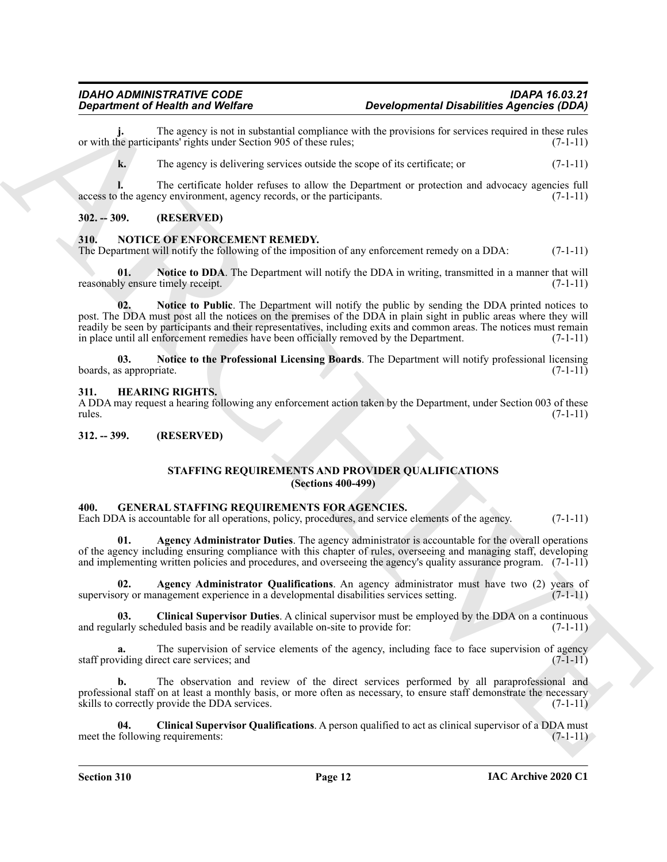The agency is not in substantial compliance with the provisions for services required in these rules pants' rights under Section 905 of these rules: (7-1-11) or with the participants' rights under Section 905 of these rules;

**k.** The agency is delivering services outside the scope of its certificate; or  $(7-1-11)$ 

**l.** The certificate holder refuses to allow the Department or protection and advocacy agencies full the agency environment, agency records, or the participants. (7-1-11) access to the agency environment, agency records, or the participants.

# <span id="page-11-0"></span>**302. -- 309. (RESERVED)**

# <span id="page-11-12"></span><span id="page-11-1"></span>**310. NOTICE OF ENFORCEMENT REMEDY.**

The Department will notify the following of the imposition of any enforcement remedy on a DDA: (7-1-11)

<span id="page-11-14"></span><span id="page-11-13"></span>**Notice to DDA**. The Department will notify the DDA in writing, transmitted in a manner that will reasonably ensure timely receipt. (7-1-11)  $(7-1-1)$ 

**Equation of Health and Value for Constrainer Computer and Computer and Computer and Computer and Computer and Computer and Computer and Computer and Computer and Computer and Computer and Computer and Computer and Comput 02. Notice to Public**. The Department will notify the public by sending the DDA printed notices to post. The DDA must post all the notices on the premises of the DDA in plain sight in public areas where they will readily be seen by participants and their representatives, including exits and common areas. The notices must remain in place until all enforcement remedies have been officially removed by the Department. (7-1-11)

<span id="page-11-15"></span>**03. Notice to the Professional Licensing Boards**. The Department will notify professional licensing boards, as appropriate.  $(7-1-11)$ 

#### <span id="page-11-11"></span><span id="page-11-2"></span>**311. HEARING RIGHTS.**

A DDA may request a hearing following any enforcement action taken by the Department, under Section 003 of these rules. (7-1-11)

<span id="page-11-4"></span><span id="page-11-3"></span>**312. -- 399. (RESERVED)**

# <span id="page-11-16"></span><span id="page-11-7"></span>**STAFFING REQUIREMENTS AND PROVIDER QUALIFICATIONS (Sections 400-499)**

#### <span id="page-11-6"></span><span id="page-11-5"></span>**400. GENERAL STAFFING REQUIREMENTS FOR AGENCIES.**

Each DDA is accountable for all operations, policy, procedures, and service elements of the agency. (7-1-11)

**Agency Administrator Duties**. The agency administrator is accountable for the overall operations of the agency including ensuring compliance with this chapter of rules, overseeing and managing staff, developing and implementing written policies and procedures, and overseeing the agency's quality assurance program. (7-1-11)

<span id="page-11-8"></span>**02. Agency Administrator Qualifications**. An agency administrator must have two (2) years of supervisory or management experience in a developmental disabilities services setting. (7-1-11)

<span id="page-11-9"></span>**Clinical Supervisor Duties**. A clinical supervisor must be employed by the DDA on a continuous eduled basis and be readily available on-site to provide for: (7-1-11) and regularly scheduled basis and be readily available on-site to provide for:

The supervision of service elements of the agency, including face to face supervision of agency staff providing direct care services; and (7-1-11)

**b.** The observation and review of the direct services performed by all paraprofessional and professional staff on at least a monthly basis, or more often as necessary, to ensure staff demonstrate the necessary skills to correctly provide the DDA services. (7-1-11)

<span id="page-11-10"></span>**04.** Clinical Supervisor Qualifications. A person qualified to act as clinical supervisor of a DDA must following requirements: (7-1-11) meet the following requirements:

**Section 310 Page 12**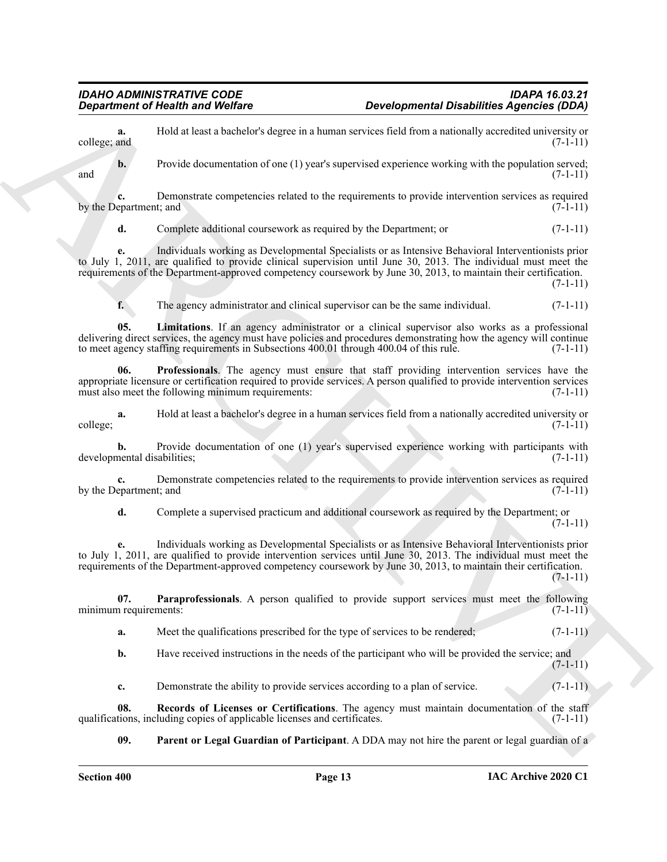**a.** Hold at least a bachelor's degree in a human services field from a nationally accredited university or college; and  $(7-1-11)$  $\text{college; and} \tag{7-1-11}$ 

**b.** Provide documentation of one (1) year's supervised experience working with the population served; and  $(7-1-11)$ 

**c.** Demonstrate competencies related to the requirements to provide intervention services as required epartment: and  $(7-1-11)$ by the Department; and

**d.** Complete additional coursework as required by the Department; or  $(7-1-11)$ 

**e.** Individuals working as Developmental Specialists or as Intensive Behavioral Interventionists prior to July 1, 2011, are qualified to provide clinical supervision until June 30, 2013. The individual must meet the requirements of the Department-approved competency coursework by June 30, 2013, to maintain their certification.

 $(7-1-11)$ 

<span id="page-12-3"></span><span id="page-12-0"></span>**f.** The agency administrator and clinical supervisor can be the same individual.  $(7-1-11)$ 

**05. Limitations**. If an agency administrator or a clinical supervisor also works as a professional delivering direct services, the agency must have policies and procedures demonstrating how the agency will continue to meet agency staffing requirements in Subsections 400.01 through 400.04 of this rule. (7-1-11)

**06. Professionals**. The agency must ensure that staff providing intervention services have the appropriate licensure or certification required to provide services. A person qualified to provide intervention services must also meet the following minimum requirements: (7-1-11)

**a.** Hold at least a bachelor's degree in a human services field from a nationally accredited university or college; (7-1-11)

**b.** Provide documentation of one (1) year's supervised experience working with participants with developmental disabilities; (7-1-11)

**c.** Demonstrate competencies related to the requirements to provide intervention services as required by the Department; and  $(7-1-11)$ 

**d.** Complete a supervised practicum and additional coursework as required by the Department; or  $(7-1-11)$ 

**Equation of Nicolas Anti-Vietners**<br> **Exception Constrained Vietners**<br>
Leading Association (1961)<br>
Leading Association (1961)<br>
Leading Association (1961)<br>  $\Phi$  the base of the state of the state of the state of the state **e.** Individuals working as Developmental Specialists or as Intensive Behavioral Interventionists prior to July 1, 2011, are qualified to provide intervention services until June 30, 2013. The individual must meet the requirements of the Department-approved competency coursework by June 30, 2013, to maintain their certification.  $(7-1-11)$ 

**07. Paraprofessionals**. A person qualified to provide support services must meet the following minimum requirements: (7-1-11)

<span id="page-12-1"></span>**a.** Meet the qualifications prescribed for the type of services to be rendered; (7-1-11)

**b.** Have received instructions in the needs of the participant who will be provided the service; and  $(7-1-11)$ 

<span id="page-12-4"></span>**c.** Demonstrate the ability to provide services according to a plan of service. (7-1-11)

**08. Records of Licenses or Certifications**. The agency must maintain documentation of the staff tions, including copies of applicable licenses and certificates. (7-1-11) qualifications, including copies of applicable licenses and certificates.

<span id="page-12-2"></span>**09. Parent or Legal Guardian of Participant**. A DDA may not hire the parent or legal guardian of a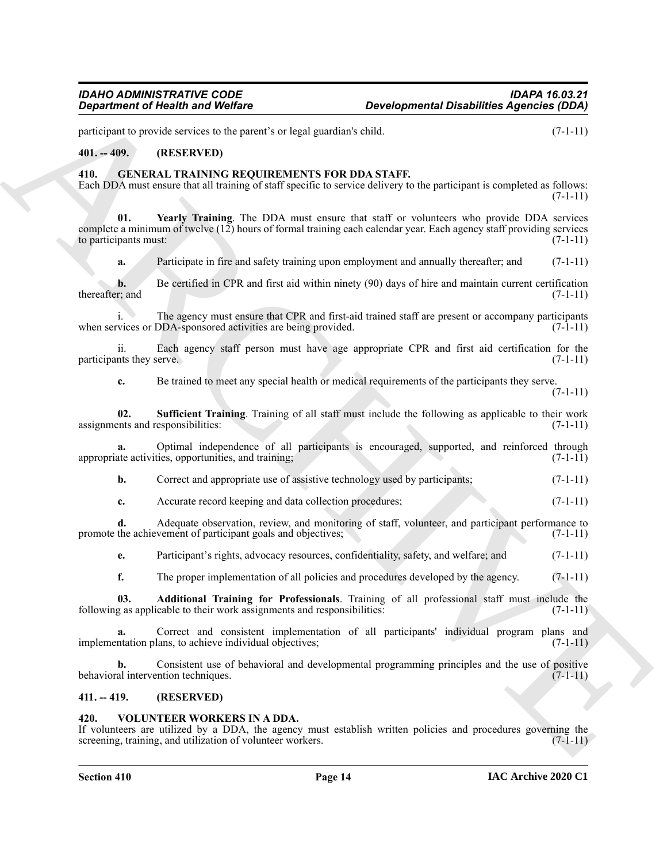participant to provide services to the parent's or legal guardian's child. (7-1-11)

# <span id="page-13-0"></span>**401. -- 409. (RESERVED)**

#### <span id="page-13-4"></span><span id="page-13-1"></span>**410. GENERAL TRAINING REQUIREMENTS FOR DDA STAFF.**

Each DDA must ensure that all training of staff specific to service delivery to the participant is completed as follows:  $(7-1-11)$ 

**Equation of Nically and Wolfing 100**<br>
gradient of Nically and Wolfing 100<br>
gradient of Nically and Wolfing 100<br>
gradient of Nical ARCHIVERY (Representation of Nical ARCHIVERY 100<br>
40. CHENEN ARCHIVERY (ARCHIVERY PRODUCTI **01. Yearly Training**. The DDA must ensure that staff or volunteers who provide DDA services complete a minimum of twelve (12) hours of formal training each calendar year. Each agency staff providing services to participants must: (7-1-11) (7-1-11)

<span id="page-13-7"></span>**a.** Participate in fire and safety training upon employment and annually thereafter; and (7-1-11)

**b.** Be certified in CPR and first aid within ninety (90) days of hire and maintain current certification r; and  $(7-1-11)$ thereafter; and

i. The agency must ensure that CPR and first-aid trained staff are present or accompany participants when services or DDA-sponsored activities are being provided. (7-1-11)

ii. Each agency staff person must have age appropriate CPR and first aid certification for the participants they serve.

<span id="page-13-6"></span>**c.** Be trained to meet any special health or medical requirements of the participants they serve.

 $(7-1-11)$ 

**02. Sufficient Training**. Training of all staff must include the following as applicable to their work ents and responsibilities: (7-1-11) assignments and responsibilities:

**a.** Optimal independence of all participants is encouraged, supported, and reinforced through appropriate activities, opportunities, and training; (7-1-11)

- **b.** Correct and appropriate use of assistive technology used by participants; (7-1-11)
- **c.** Accurate record keeping and data collection procedures; (7-1-11)

**d.** Adequate observation, review, and monitoring of staff, volunteer, and participant performance to promote the achievement of participant goals and objectives; (7-1-11)

**e.** Participant's rights, advocacy resources, confidentiality, safety, and welfare; and (7-1-11)

<span id="page-13-5"></span>**f.** The proper implementation of all policies and procedures developed by the agency. (7-1-11)

**03. Additional Training for Professionals**. Training of all professional staff must include the following as applicable to their work assignments and responsibilities: (7-1-11)

**a.** Correct and consistent implementation of all participants' individual program plans and implementation plans, to achieve individual objectives; (7-1-11)

**b.** Consistent use of behavioral and developmental programming principles and the use of positive behavioral intervention techniques. (7-1-11) (7-1-11)

#### <span id="page-13-2"></span>**411. -- 419. (RESERVED)**

#### <span id="page-13-8"></span><span id="page-13-3"></span>**420. VOLUNTEER WORKERS IN A DDA.**

If volunteers are utilized by a DDA, the agency must establish written policies and procedures governing the screening, training, and utilization of volunteer workers. (7-1-11)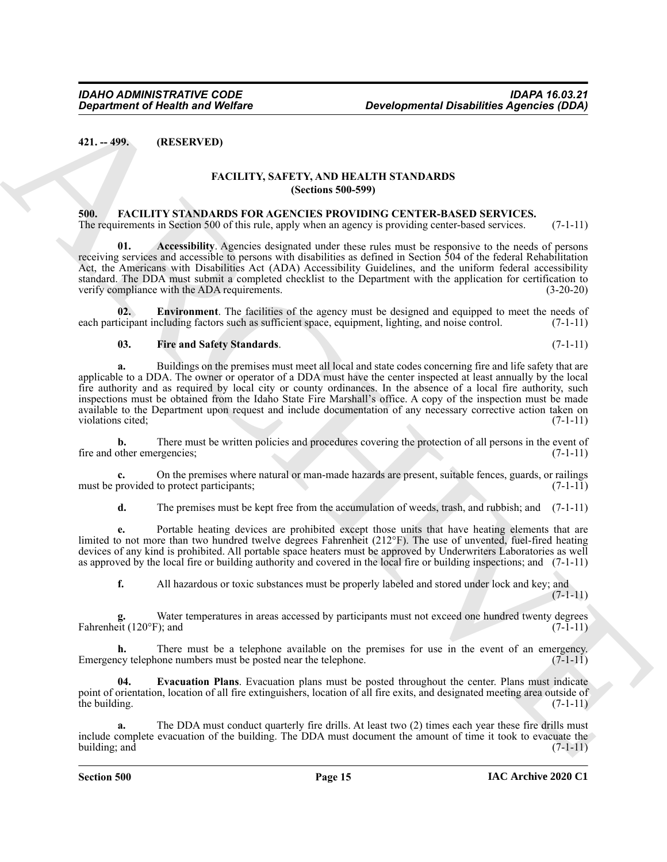<span id="page-14-1"></span><span id="page-14-0"></span>**421. -- 499. (RESERVED)**

# <span id="page-14-8"></span><span id="page-14-4"></span>**FACILITY, SAFETY, AND HEALTH STANDARDS (Sections 500-599)**

#### <span id="page-14-3"></span><span id="page-14-2"></span>**500. FACILITY STANDARDS FOR AGENCIES PROVIDING CENTER-BASED SERVICES.**

The requirements in Section 500 of this rule, apply when an agency is providing center-based services. (7-1-11)

**01. Accessibility**. Agencies designated under these rules must be responsive to the needs of persons receiving services and accessible to persons with disabilities as defined in Section 504 of the federal Rehabilitation Act, the Americans with Disabilities Act (ADA) Accessibility Guidelines, and the uniform federal accessibility standard. The DDA must submit a completed checklist to the Department with the application for certification to verify compliance with the ADA requirements. (3-20-20)

**02. Environment**. The facilities of the agency must be designed and equipped to meet the needs of each participant including factors such as sufficient space, equipment, lighting, and noise control. (7-1-11)

#### <span id="page-14-7"></span><span id="page-14-5"></span>**03. Fire and Safety Standards**. (7-1-11)

**Experiment of Nearly and Wolfare Developmental DealthRess Agencies (DEA)**<br> **ARCHITY SAFETY, AND HEALTH STANDARDS**<br> **ARCHITY SAFETY, AND HEALTH STANDARDS**<br> **ARCHITY SAFETY, AND HEALTH STANDARDS**<br> **ARCHITY SAFETY SAFETY, a.** Buildings on the premises must meet all local and state codes concerning fire and life safety that are applicable to a DDA. The owner or operator of a DDA must have the center inspected at least annually by the local fire authority and as required by local city or county ordinances. In the absence of a local fire authority, such inspections must be obtained from the Idaho State Fire Marshall's office. A copy of the inspection must be made available to the Department upon request and include documentation of any necessary corrective action taken on violations cited; (7-1-11) (3)

**b.** There must be written policies and procedures covering the protection of all persons in the event of fire and other emergencies; (7-1-11) (3)

**c.** On the premises where natural or man-made hazards are present, suitable fences, guards, or railings must be provided to protect participants; (7-1-11)

**d.** The premises must be kept free from the accumulation of weeds, trash, and rubbish; and (7-1-11)

**e.** Portable heating devices are prohibited except those units that have heating elements that are limited to not more than two hundred twelve degrees Fahrenheit (212°F). The use of unvented, fuel-fired heating devices of any kind is prohibited. All portable space heaters must be approved by Underwriters Laboratories as well as approved by the local fire or building authority and covered in the local fire or building inspections; and (7-1-11)

**f.** All hazardous or toxic substances must be properly labeled and stored under lock and key; and  $(7-1-11)$ 

Water temperatures in areas accessed by participants must not exceed one hundred twenty degrees<br>  $\gamma$ ; and (7-1-11) Fahrenheit (120°F); and

**h.** There must be a telephone available on the premises for use in the event of an emergency. Emergency telephone numbers must be posted near the telephone.  $(7-1-11)$ 

<span id="page-14-6"></span>**04. Evacuation Plans**. Evacuation plans must be posted throughout the center. Plans must indicate point of orientation, location of all fire extinguishers, location of all fire exits, and designated meeting area outside of the building.  $(7-1-11)$ 

**a.** The DDA must conduct quarterly fire drills. At least two (2) times each year these fire drills must include complete evacuation of the building. The DDA must document the amount of time it took to evacuate the building; and  $(7-1-11)$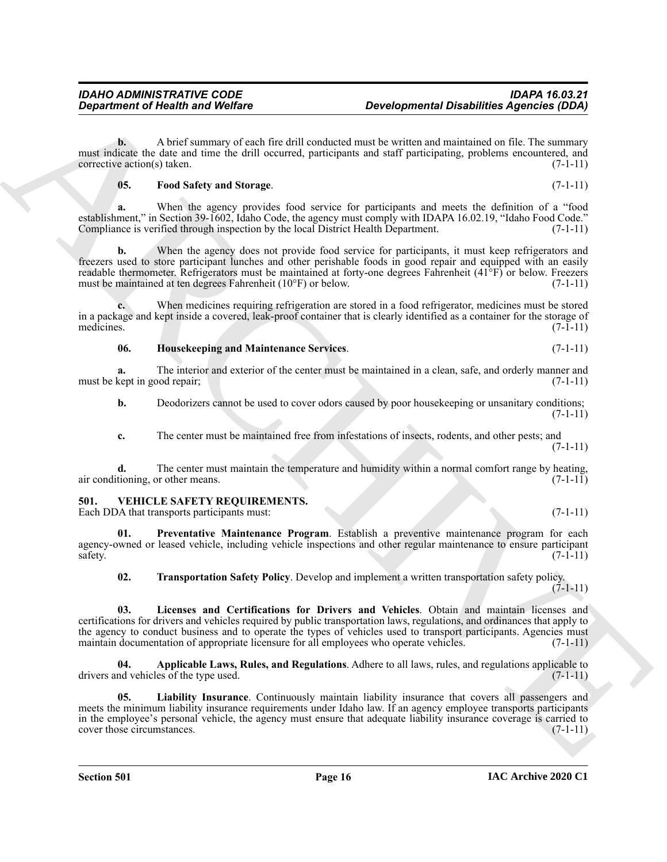**b.** A brief summary of each fire drill conducted must be written and maintained on file. The summary must indicate the date and time the drill occurred, participants and staff participating, problems encountered, and  $corrective action(s) taken.$  (7-1-11)

# <span id="page-15-1"></span>**05. Food Safety and Storage**. (7-1-11)

**a.** When the agency provides food service for participants and meets the definition of a "food establishment," in Section 39-1602, Idaho Code, the agency must comply with IDAPA 16.02.19, "Idaho Food Code." Compliance is verified through inspection by the local District Health Department. (7-1-11)

**b.** When the agency does not provide food service for participants, it must keep refrigerators and freezers used to store participant lunches and other perishable foods in good repair and equipped with an easily readable thermometer. Refrigerators must be maintained at forty-one degrees Fahrenheit (41°F) or below. Freezers must be maintained at ten degrees Fahrenheit  $(10^{\circ}F)$  or below. (7-1-11)

**c.** When medicines requiring refrigeration are stored in a food refrigerator, medicines must be stored in a package and kept inside a covered, leak-proof container that is clearly identified as a container for the storage of medicines.  $(7-1-11)$ 

# <span id="page-15-2"></span>**06. Housekeeping and Maintenance Services**. (7-1-11)

**a.** The interior and exterior of the center must be maintained in a clean, safe, and orderly manner and must be kept in good repair; (7-1-11)

**b.** Deodorizers cannot be used to cover odors caused by poor house keeping or unsanitary conditions;  $(7-1-11)$ 

**c.** The center must be maintained free from infestations of insects, rodents, and other pests; and (7-1-11)

**d.** The center must maintain the temperature and humidity within a normal comfort range by heating, air conditioning, or other means. (7-1-11)

# <span id="page-15-3"></span><span id="page-15-0"></span>**501. VEHICLE SAFETY REQUIREMENTS.**

Each DDA that transports participants must: (7-1-11)

**01. Preventative Maintenance Program**. Establish a preventive maintenance program for each agency-owned or leased vehicle, including vehicle inspections and other regular maintenance to ensure participant safety. (7-1-11)  $s$ safety.  $(7-1-11)$ 

<span id="page-15-8"></span><span id="page-15-7"></span><span id="page-15-6"></span>**02. Transportation Safety Policy**. Develop and implement a written transportation safety policy. (7-1-11)

*Department of Nearly is and Welfare*<br> **Developmental Description Archives**<br>
The statistics of each interest consistent and the statistics of the statistics of the statistics of the statistics of the statistics of the s **03. Licenses and Certifications for Drivers and Vehicles**. Obtain and maintain licenses and certifications for drivers and vehicles required by public transportation laws, regulations, and ordinances that apply to the agency to conduct business and to operate the types of vehicles used to transport participants. Agencies must maintain documentation of appropriate licensure for all employees who operate vehicles. (7-1-11)

<span id="page-15-4"></span>**04. Applicable Laws, Rules, and Regulations**. Adhere to all laws, rules, and regulations applicable to drivers and vehicles of the type used. (7-1-11)

<span id="page-15-5"></span>**05. Liability Insurance**. Continuously maintain liability insurance that covers all passengers and meets the minimum liability insurance requirements under Idaho law. If an agency employee transports participants in the employee's personal vehicle, the agency must ensure that adequate liability insurance coverage is carried to cover those circumstances. (7-1-11)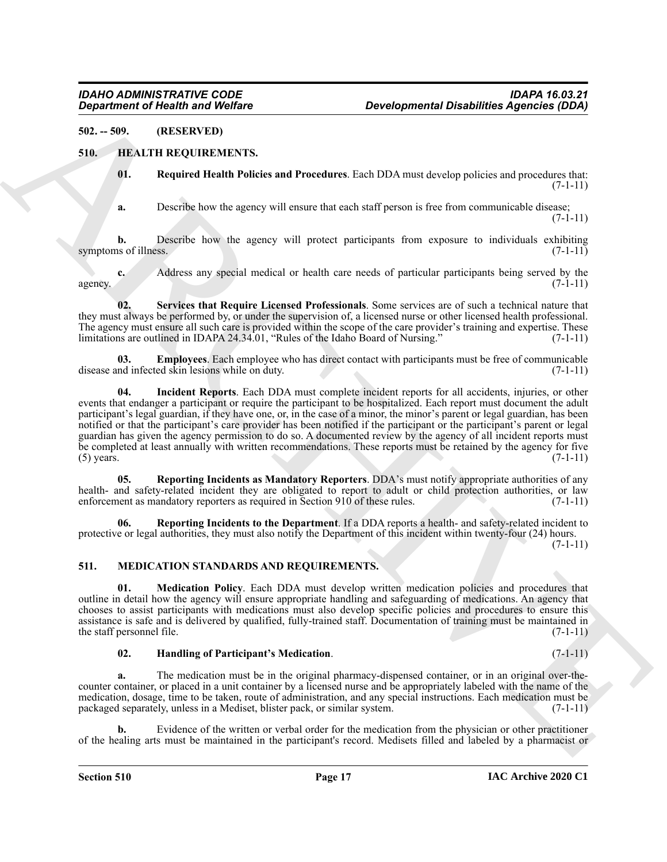# <span id="page-16-0"></span>**502. -- 509. (RESERVED)**

# <span id="page-16-1"></span>**510. HEALTH REQUIREMENTS.**

<span id="page-16-8"></span><span id="page-16-3"></span>**01. Required Health Policies and Procedures**. Each DDA must develop policies and procedures that: (7-1-11)

**a.** Describe how the agency will ensure that each staff person is free from communicable disease;  $(7-1-11)$ 

**b.** Describe how the agency will protect participants from exposure to individuals exhibiting symptoms of illness. (7-1-11)

**c.** Address any special medical or health care needs of particular participants being served by the agency.  $(7-1-11)$ 

<span id="page-16-9"></span>**02. Services that Require Licensed Professionals**. Some services are of such a technical nature that they must always be performed by, or under the supervision of, a licensed nurse or other licensed health professional. The agency must ensure all such care is provided within the scope of the care provider's training and expertise. These limitations are outlined in IDAPA 24.34.01, "Rules of the Idaho Board of Nursing." (7-1-11)

<span id="page-16-5"></span><span id="page-16-4"></span>**03. Employees**. Each employee who has direct contact with participants must be free of communicable disease and infected skin lesions while on duty. (7-1-11)

**Equation of Health and Wolfins**<br>
SELECTION TRANSVANDS Aparticles **Aparticles (EDA)**<br>
SELECTION TRANSVANDS AND THE EXECTION TRANSVANDS (THE SELECTION OF THE SELECTION CONTINUES) and the selection of the selection of the s **04. Incident Reports**. Each DDA must complete incident reports for all accidents, injuries, or other events that endanger a participant or require the participant to be hospitalized. Each report must document the adult participant's legal guardian, if they have one, or, in the case of a minor, the minor's parent or legal guardian, has been notified or that the participant's care provider has been notified if the participant or the participant's parent or legal guardian has given the agency permission to do so. A documented review by the agency of all incident reports must be completed at least annually with written recommendations. These reports must be retained by the agency for five (5) years.  $(7-1-11)$ 

<span id="page-16-6"></span>**05. Reporting Incidents as Mandatory Reporters**. DDA's must notify appropriate authorities of any health- and safety-related incident they are obligated to report to adult or child protection authorities, or law enforcement as mandatory reporters as required in Section 910 of these rules. (7-1-11) enforcement as mandatory reporters as required in Section  $910$  of these rules.

<span id="page-16-7"></span>**06. Reporting Incidents to the Department**. If a DDA reports a health- and safety-related incident to protective or legal authorities, they must also notify the Department of this incident within twenty-four (24) hours.

(7-1-11)

# <span id="page-16-10"></span><span id="page-16-2"></span>**511. MEDICATION STANDARDS AND REQUIREMENTS.**

<span id="page-16-12"></span>**01. Medication Policy**. Each DDA must develop written medication policies and procedures that outline in detail how the agency will ensure appropriate handling and safeguarding of medications. An agency that chooses to assist participants with medications must also develop specific policies and procedures to ensure this assistance is safe and is delivered by qualified, fully-trained staff. Documentation of training must be maintained in the staff personnel file.  $(7-1-11)$ 

#### <span id="page-16-11"></span>**02. Handling of Participant's Medication**. (7-1-11)

**a.** The medication must be in the original pharmacy-dispensed container, or in an original over-thecounter container, or placed in a unit container by a licensed nurse and be appropriately labeled with the name of the medication, dosage, time to be taken, route of administration, and any special instructions. Each medication must be packaged separately, unless in a Mediset, blister pack, or similar system. (7-1-11)

**b.** Evidence of the written or verbal order for the medication from the physician or other practitioner of the healing arts must be maintained in the participant's record. Medisets filled and labeled by a pharmacist or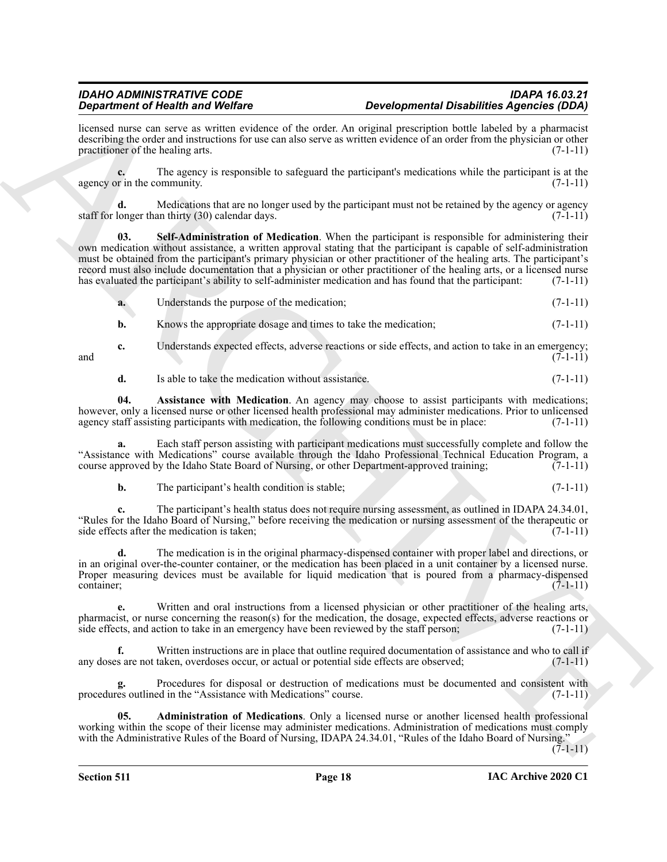# *IDAHO ADMINISTRATIVE CODE IDAPA 16.03.21 Developmental Disabilities Agencies (DDA)*

licensed nurse can serve as written evidence of the order. An original prescription bottle labeled by a pharmacist describing the order and instructions for use can also serve as written evidence of an order from the physician or other practitioner of the healing arts. (7-1-11) practitioner of the healing arts.

**c.** The agency is responsible to safeguard the participant's medications while the participant is at the agency or in the community.  $(7-1-11)$ 

<span id="page-17-2"></span>**d.** Medications that are no longer used by the participant must not be retained by the agency or agency staff for longer than thirty (30) calendar days.  $(7-1-11)$ 

**Signation of New York Distribute C**<br>
Signation of the state of the nuclear phonon parameters and particle and the state of the state of the state of the state of the state of the nuclear state of the state of the state o **03. Self-Administration of Medication**. When the participant is responsible for administering their own medication without assistance, a written approval stating that the participant is capable of self-administration must be obtained from the participant's primary physician or other practitioner of the healing arts. The participant's record must also include documentation that a physician or other practitioner of the healing arts, or a licensed nurse has evaluated the participant's ability to self-administer medication and has found that the participant: (7-1-11)

| Understands the purpose of the medication;                     | $(7-1-11)$ |
|----------------------------------------------------------------|------------|
| Knows the appropriate dosage and times to take the medication; | $(7-1-11)$ |

**c.** Understands expected effects, adverse reactions or side effects, and action to take in an emergency; and  $(7-1-11)$ 

<span id="page-17-1"></span>**d.** Is able to take the medication without assistance. (7-1-11)

**04. Assistance with Medication**. An agency may choose to assist participants with medications; however, only a licensed nurse or other licensed health professional may administer medications. Prior to unlicensed agency staff assisting participants with medication, the following conditions must be in place: (7-1-11)

**a.** Each staff person assisting with participant medications must successfully complete and follow the "Assistance with Medications" course available through the Idaho Professional Technical Education Program, a course approved by the Idaho State Board of Nursing, or other Department-approved training; (7-1-11) course approved by the Idaho State Board of Nursing, or other Department-approved training;

**b.** The participant's health condition is stable; (7-1-11)

**c.** The participant's health status does not require nursing assessment, as outlined in IDAPA 24.34.01, "Rules for the Idaho Board of Nursing," before receiving the medication or nursing assessment of the therapeutic or side effects after the medication is taken;

**d.** The medication is in the original pharmacy-dispensed container with proper label and directions, or in an original over-the-counter container, or the medication has been placed in a unit container by a licensed nurse. Proper measuring devices must be available for liquid medication that is poured from a pharmacy-dispensed container;  $(7-1-11)$ 

**e.** Written and oral instructions from a licensed physician or other practitioner of the healing arts, pharmacist, or nurse concerning the reason(s) for the medication, the dosage, expected effects, adverse reactions or side effects, and action to take in an emergency have been reviewed by the staff person; (7-1-11)

**f.** Written instructions are in place that outline required documentation of assistance and who to call if any doses are not taken, overdoses occur, or actual or potential side effects are observed; (7-1-11)

**g.** Procedures for disposal or destruction of medications must be documented and consistent with procedures outlined in the "Assistance with Medications" course. (7-1-11)

<span id="page-17-0"></span>**05. Administration of Medications**. Only a licensed nurse or another licensed health professional working within the scope of their license may administer medications. Administration of medications must comply with the Administrative Rules of the Board of Nursing, IDAPA 24.34.01, "Rules of the Idaho Board of Nursing."

 $(7-1-11)$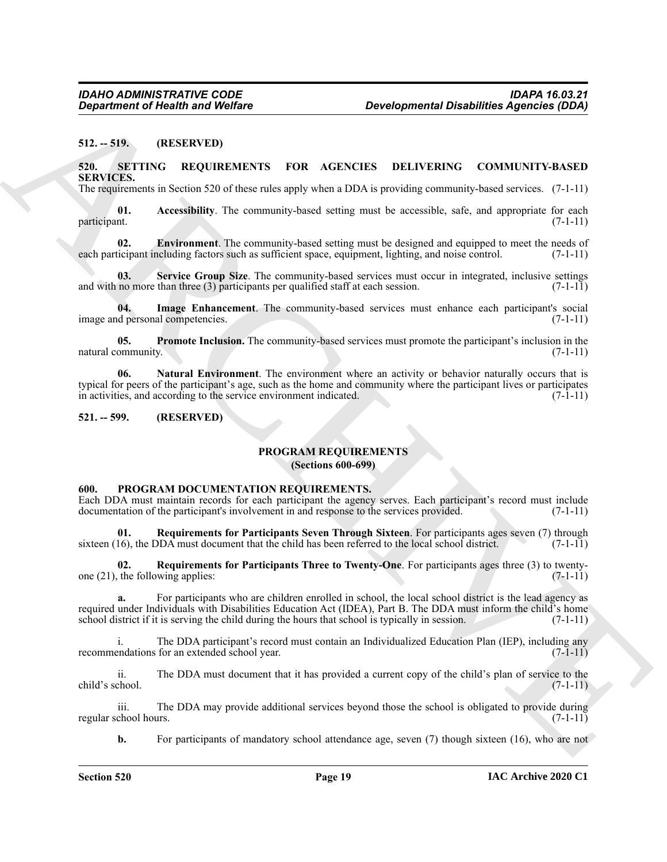# <span id="page-18-0"></span>**512. -- 519. (RESERVED)**

# <span id="page-18-9"></span><span id="page-18-1"></span>**520. SETTING REQUIREMENTS FOR AGENCIES DELIVERING COMMUNITY-BASED SERVICES.**

<span id="page-18-10"></span>The requirements in Section 520 of these rules apply when a DDA is providing community-based services. (7-1-11)

**01. Accessibility**. The community-based setting must be accessible, safe, and appropriate for each participant. (7-1-11)

<span id="page-18-11"></span>**02. Environment**. The community-based setting must be designed and equipped to meet the needs of each participant including factors such as sufficient space, equipment, lighting, and noise control. (7-1-11)

<span id="page-18-15"></span>**Service Group Size**. The community-based services must occur in integrated, inclusive settings and with no more than three  $(3)$  participants per qualified staff at each session.  $(7-1-11)$ 

<span id="page-18-12"></span>**04.** Image Enhancement. The community-based services must enhance each participant's social depersonal competencies. (7-1-11) image and personal competencies.

<span id="page-18-14"></span><span id="page-18-13"></span>**05. Promote Inclusion.** The community-based services must promote the participant's inclusion in the natural community. (7-1-11) (3)

**Equation of Health and Wolfins**<br>
SEL - 51). (RESERVED)<br>
SEL - SUPER INTERVENTS FOR AGENCIES DELIVERIBATION CONVINTE-RASED<br>
SERVED TIME INTERVENTS FOR AGENCIES DELIVERIBATION CONVINCTIVE RASED<br>
THE SCHEME INTERVENTS FOR A **06. Natural Environment**. The environment where an activity or behavior naturally occurs that is typical for peers of the participant's age, such as the home and community where the participant lives or participates in activities, and according to the service environment indicated. (7-1-11)

# <span id="page-18-3"></span><span id="page-18-2"></span>**521. -- 599. (RESERVED)**

# <span id="page-18-8"></span>**PROGRAM REQUIREMENTS**

**(Sections 600-699)**

#### <span id="page-18-5"></span><span id="page-18-4"></span>**600. PROGRAM DOCUMENTATION REQUIREMENTS.**

Each DDA must maintain records for each participant the agency serves. Each participant's record must include documentation of the participant's involvement in and response to the services provided. (7-1-11)

<span id="page-18-6"></span>**01. Requirements for Participants Seven Through Sixteen**. For participants ages seven (7) through 16), the DDA must document that the child has been referred to the local school district. (7-1-11) sixteen  $(16)$ , the DDA must document that the child has been referred to the local school district.

<span id="page-18-7"></span>**02.** Requirements for Participants Three to Twenty-One. For participants ages three (3) to twenty-<br>the following applies: (7-1-11) one  $(21)$ , the following applies:

**a.** For participants who are children enrolled in school, the local school district is the lead agency as required under Individuals with Disabilities Education Act (IDEA), Part B. The DDA must inform the child's home school district if it is serving the child during the hours that school is typically in session. (7-1-11)

i. The DDA participant's record must contain an Individualized Education Plan (IEP), including any recommendations for an extended school year. (7-1-11)

ii. The DDA must document that it has provided a current copy of the child's plan of service to the child's school. (7-1-11)

iii. The DDA may provide additional services beyond those the school is obligated to provide during regular school hours. (7-1-11)

**b.** For participants of mandatory school attendance age, seven (7) though sixteen (16), who are not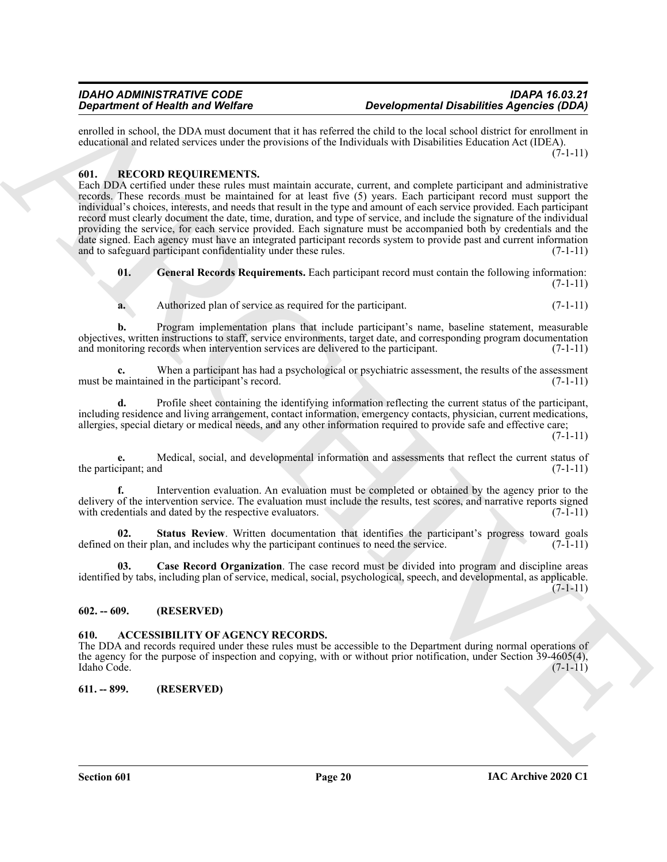enrolled in school, the DDA must document that it has referred the child to the local school district for enrollment in educational and related services under the provisions of the Individuals with Disabilities Education Act (IDEA).

 $(7-1-11)$ 

# <span id="page-19-5"></span><span id="page-19-0"></span>**601. RECORD REQUIREMENTS.**

**Experiment of New York with the computer in the set of the computer of the absorption of the formula control of the set of the set of the set of the set of the set of the set of the set of the set of the set of the set o** Each DDA certified under these rules must maintain accurate, current, and complete participant and administrative records. These records must be maintained for at least five (5) years. Each participant record must support the individual's choices, interests, and needs that result in the type and amount of each service provided. Each participant record must clearly document the date, time, duration, and type of service, and include the signature of the individual providing the service, for each service provided. Each signature must be accompanied both by credentials and the date signed. Each agency must have an integrated participant records system to provide past and current information and to safeguard participant confidentiality under these rules. (7-1-11)

<span id="page-19-7"></span>**01. General Records Requirements.** Each participant record must contain the following information:  $(7-1-11)$ 

**a.** Authorized plan of service as required for the participant. (7-1-11)

**b.** Program implementation plans that include participant's name, baseline statement, measurable objectives, written instructions to staff, service environments, target date, and corresponding program documentation and monitoring records when intervention services are delivered to the participant.  $(7-1-11)$ 

**c.** When a participant has had a psychological or psychiatric assessment, the results of the assessment must be maintained in the participant's record. (7-1-11)

**d.** Profile sheet containing the identifying information reflecting the current status of the participant, including residence and living arrangement, contact information, emergency contacts, physician, current medications, allergies, special dietary or medical needs, and any other information required to provide safe and effective care;

 $(7-1-11)$ 

**e.** Medical, social, and developmental information and assessments that reflect the current status of the participant; and  $(7-1-11)$ 

**f.** Intervention evaluation. An evaluation must be completed or obtained by the agency prior to the delivery of the intervention service. The evaluation must include the results, test scores, and narrative reports signed with credentials and dated by the respective evaluators. (7-1-11)

<span id="page-19-8"></span>**02. Status Review**. Written documentation that identifies the participant's progress toward goals defined on their plan, and includes why the participant continues to need the service. (7-1-11)

<span id="page-19-6"></span>**03. Case Record Organization**. The case record must be divided into program and discipline areas identified by tabs, including plan of service, medical, social, psychological, speech, and developmental, as applicable.  $(7-1-11)$ 

# <span id="page-19-1"></span>**602. -- 609. (RESERVED)**

# <span id="page-19-4"></span><span id="page-19-2"></span>**610. ACCESSIBILITY OF AGENCY RECORDS.**

The DDA and records required under these rules must be accessible to the Department during normal operations of the agency for the purpose of inspection and copying, with or without prior notification, under Section 39-4605(4), Idaho Code. Idaho Code. (7-1-11)

# <span id="page-19-3"></span>**611. -- 899. (RESERVED)**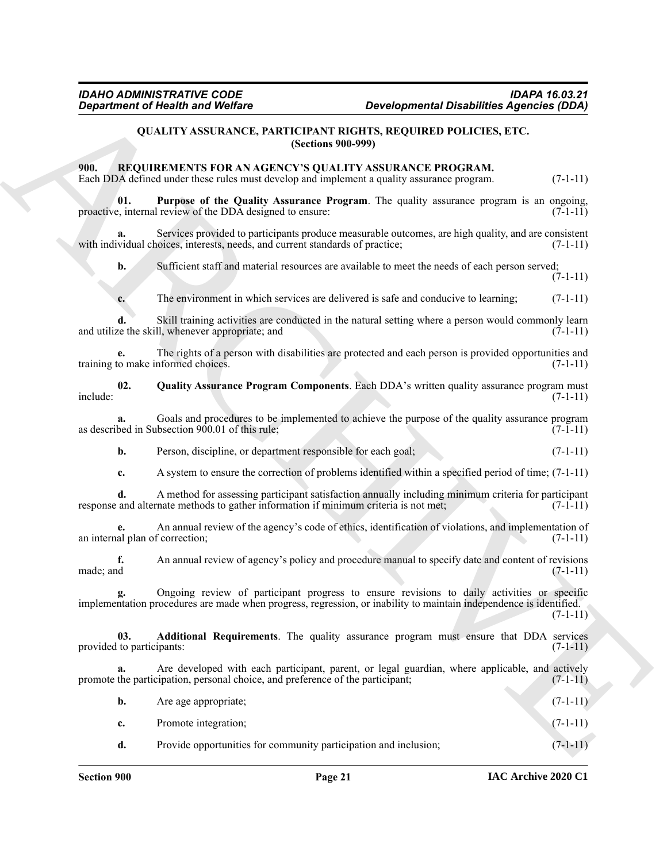# <span id="page-20-5"></span><span id="page-20-3"></span><span id="page-20-2"></span>**QUALITY ASSURANCE, PARTICIPANT RIGHTS, REQUIRED POLICIES, ETC. (Sections 900-999)**

# <span id="page-20-6"></span><span id="page-20-4"></span><span id="page-20-1"></span><span id="page-20-0"></span>**900. REQUIREMENTS FOR AN AGENCY'S QUALITY ASSURANCE PROGRAM.**

| <b>Department of Health and Welfare</b> |                                                                                      | <b>Developmental Disabilities Agencies (DDA)</b>                                                                                                                                                                 |            |
|-----------------------------------------|--------------------------------------------------------------------------------------|------------------------------------------------------------------------------------------------------------------------------------------------------------------------------------------------------------------|------------|
|                                         |                                                                                      | <b>QUALITY ASSURANCE, PARTICIPANT RIGHTS, REQUIRED POLICIES, ETC.</b><br><b>(Sections 900-999)</b>                                                                                                               |            |
| 900.                                    |                                                                                      | REQUIREMENTS FOR AN AGENCY'S QUALITY ASSURANCE PROGRAM.<br>Each DDA defined under these rules must develop and implement a quality assurance program.                                                            | $(7-1-11)$ |
| 01.                                     | proactive, internal review of the DDA designed to ensure:                            | Purpose of the Quality Assurance Program. The quality assurance program is an ongoing,                                                                                                                           | $(7-1-11)$ |
| a.                                      | with individual choices, interests, needs, and current standards of practice;        | Services provided to participants produce measurable outcomes, are high quality, and are consistent                                                                                                              | $(7-1-11)$ |
| b.                                      |                                                                                      | Sufficient staff and material resources are available to meet the needs of each person served;                                                                                                                   | $(7-1-11)$ |
| c.                                      |                                                                                      | The environment in which services are delivered is safe and conducive to learning;                                                                                                                               | $(7-1-11)$ |
|                                         | and utilize the skill, whenever appropriate; and                                     | Skill training activities are conducted in the natural setting where a person would commonly learn                                                                                                               | $(7-1-11)$ |
| е.                                      | training to make informed choices.                                                   | The rights of a person with disabilities are protected and each person is provided opportunities and                                                                                                             | $(7-1-11)$ |
| 02.<br>include:                         |                                                                                      | Quality Assurance Program Components. Each DDA's written quality assurance program must                                                                                                                          | $(7-1-11)$ |
|                                         | as described in Subsection 900.01 of this rule;                                      | Goals and procedures to be implemented to achieve the purpose of the quality assurance program                                                                                                                   | $(7-1-11)$ |
| b.                                      | Person, discipline, or department responsible for each goal;                         |                                                                                                                                                                                                                  | $(7-1-11)$ |
| c.                                      |                                                                                      | A system to ensure the correction of problems identified within a specified period of time; $(7-1-11)$                                                                                                           |            |
| d.                                      | response and alternate methods to gather information if minimum criteria is not met; | A method for assessing participant satisfaction annually including minimum criteria for participant                                                                                                              | $(7-1-11)$ |
| an internal plan of correction;         |                                                                                      | An annual review of the agency's code of ethics, identification of violations, and implementation of                                                                                                             | $(7-1-11)$ |
| f.<br>made; and                         |                                                                                      | An annual review of agency's policy and procedure manual to specify date and content of revisions                                                                                                                | $(7-1-11)$ |
| g.                                      |                                                                                      | Ongoing review of participant progress to ensure revisions to daily activities or specific<br>implementation procedures are made when progress, regression, or inability to maintain independence is identified. | $(7-1-11)$ |
| 03.<br>provided to participants:        |                                                                                      | Additional Requirements. The quality assurance program must ensure that DDA services                                                                                                                             | $(7-1-11)$ |
| a.                                      | promote the participation, personal choice, and preference of the participant;       | Are developed with each participant, parent, or legal guardian, where applicable, and actively                                                                                                                   | $(7-1-11)$ |
| b.                                      | Are age appropriate;                                                                 |                                                                                                                                                                                                                  | $(7-1-11)$ |
| c.                                      | Promote integration;                                                                 |                                                                                                                                                                                                                  | $(7-1-11)$ |
| d.                                      | Provide opportunities for community participation and inclusion;                     |                                                                                                                                                                                                                  | $(7-1-11)$ |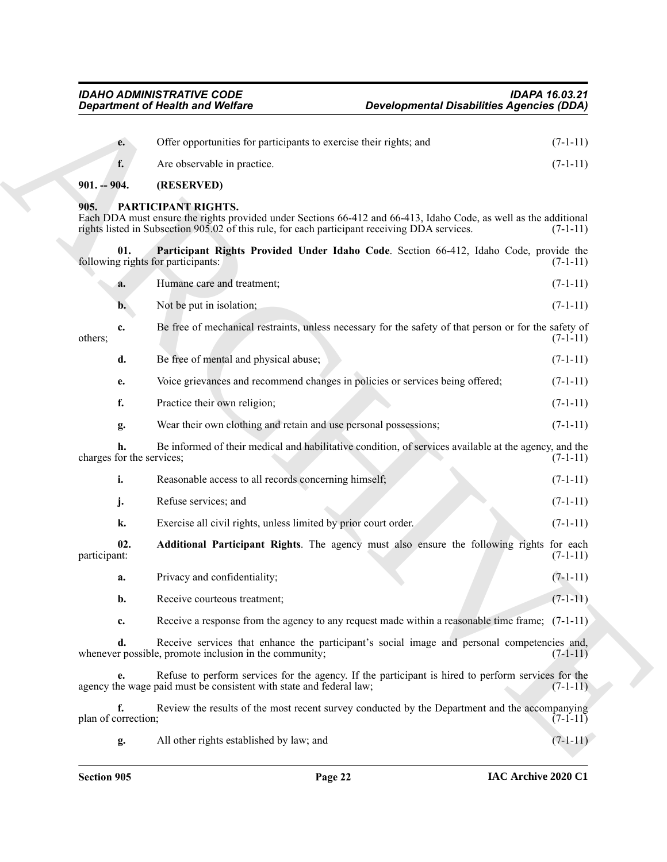<span id="page-21-4"></span><span id="page-21-2"></span><span id="page-21-1"></span><span id="page-21-0"></span>

|                           | <b>Department of Health and Welfare</b>                                                                                                                                                                                                  | <b>Developmental Disabilities Agencies (DDA)</b> |            |
|---------------------------|------------------------------------------------------------------------------------------------------------------------------------------------------------------------------------------------------------------------------------------|--------------------------------------------------|------------|
| e.                        | Offer opportunities for participants to exercise their rights; and                                                                                                                                                                       |                                                  | $(7-1-11)$ |
| f.                        | Are observable in practice.                                                                                                                                                                                                              |                                                  | $(7-1-11)$ |
| $901. - 904.$             | (RESERVED)                                                                                                                                                                                                                               |                                                  |            |
| 905.                      | PARTICIPANT RIGHTS.<br>Each DDA must ensure the rights provided under Sections 66-412 and 66-413, Idaho Code, as well as the additional<br>rights listed in Subsection 905.02 of this rule, for each participant receiving DDA services. |                                                  | $(7-1-11)$ |
| 01.                       | Participant Rights Provided Under Idaho Code. Section 66-412, Idaho Code, provide the<br>following rights for participants:                                                                                                              |                                                  | $(7-1-11)$ |
| a.                        | Humane care and treatment;                                                                                                                                                                                                               |                                                  | $(7-1-11)$ |
| b.                        | Not be put in isolation;                                                                                                                                                                                                                 |                                                  | $(7-1-11)$ |
| c.<br>others;             | Be free of mechanical restraints, unless necessary for the safety of that person or for the safety of                                                                                                                                    |                                                  | $(7-1-11)$ |
| d.                        | Be free of mental and physical abuse;                                                                                                                                                                                                    |                                                  | $(7-1-11)$ |
| е.                        | Voice grievances and recommend changes in policies or services being offered;                                                                                                                                                            |                                                  | $(7-1-11)$ |
| f.                        | Practice their own religion;                                                                                                                                                                                                             |                                                  | $(7-1-11)$ |
| g.                        | Wear their own clothing and retain and use personal possessions;                                                                                                                                                                         |                                                  | $(7-1-11)$ |
| charges for the services; | Be informed of their medical and habilitative condition, of services available at the agency, and the                                                                                                                                    |                                                  | $(7-1-11)$ |
| i.                        | Reasonable access to all records concerning himself;                                                                                                                                                                                     |                                                  | $(7-1-11)$ |
| j.                        | Refuse services; and                                                                                                                                                                                                                     |                                                  | $(7-1-11)$ |
| k.                        | Exercise all civil rights, unless limited by prior court order.                                                                                                                                                                          |                                                  | $(7-1-11)$ |
| 02.<br>participant:       | Additional Participant Rights. The agency must also ensure the following rights for each                                                                                                                                                 |                                                  | $(7-1-11)$ |
| a.                        | Privacy and confidentiality;                                                                                                                                                                                                             |                                                  | $(7-1-11)$ |
| b.                        | Receive courteous treatment;                                                                                                                                                                                                             |                                                  | $(7-1-11)$ |
| c.                        | Receive a response from the agency to any request made within a reasonable time frame; $(7-1-11)$                                                                                                                                        |                                                  |            |
| d.                        | Receive services that enhance the participant's social image and personal competencies and,<br>whenever possible, promote inclusion in the community;                                                                                    |                                                  | $(7-1-11)$ |
| e.                        | Refuse to perform services for the agency. If the participant is hired to perform services for the<br>agency the wage paid must be consistent with state and federal law;                                                                |                                                  | $(7-1-11)$ |
| f.<br>plan of correction; | Review the results of the most recent survey conducted by the Department and the accompanying                                                                                                                                            |                                                  | $(7-1-11)$ |
| g.                        | All other rights established by law; and                                                                                                                                                                                                 |                                                  | $(7-1-11)$ |

<span id="page-21-3"></span>

| Reasonable access to all records concerning himself; | $(7-1-11)$ |
|------------------------------------------------------|------------|
| Refuse services: and                                 | $(7-1-11)$ |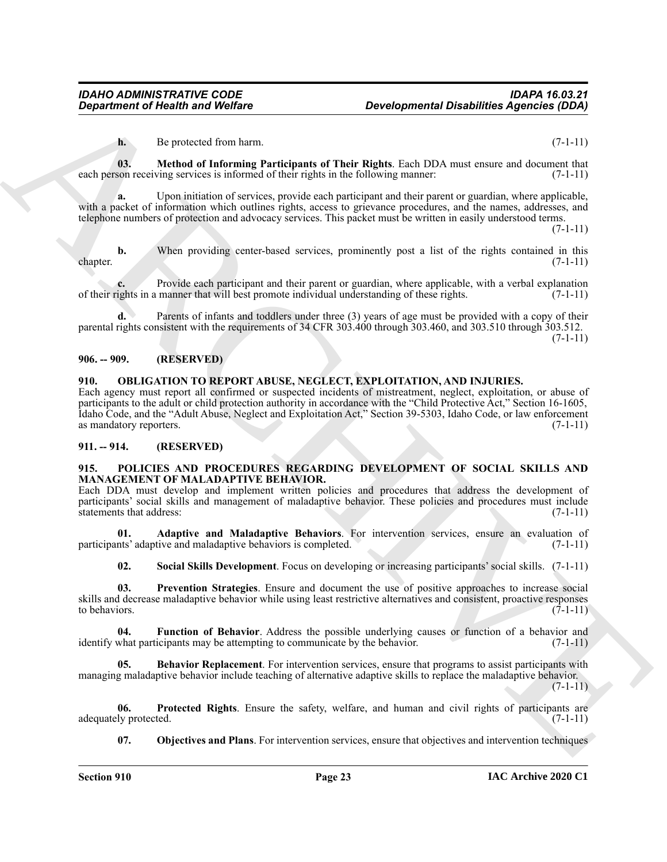<span id="page-22-5"></span>**h.** Be protected from harm. (7-1-11)

**03. Method of Informing Participants of Their Rights**. Each DDA must ensure and document that each person receiving services is informed of their rights in the following manner: (7-1-11)

**a.** Upon initiation of services, provide each participant and their parent or guardian, where applicable, with a packet of information which outlines rights, access to grievance procedures, and the names, addresses, and telephone numbers of protection and advocacy services. This packet must be written in easily understood terms.

 $(7-1-11)$ 

**b.** When providing center-based services, prominently post a list of the rights contained in this (7-1-11) chapter. (7-1-11)

Provide each participant and their parent or guardian, where applicable, with a verbal explanation manner that will best promote individual understanding of these rights. (7-1-11) of their rights in a manner that will best promote individual understanding of these rights. (7-1-11)

Parents of infants and toddlers under three (3) years of age must be provided with a copy of their parental rights consistent with the requirements of 34 CFR 303.400 through 303.460, and 303.510 through 303.512.  $(7-1-11)$ 

# <span id="page-22-0"></span>**906. -- 909. (RESERVED)**

# <span id="page-22-4"></span><span id="page-22-1"></span>**910. OBLIGATION TO REPORT ABUSE, NEGLECT, EXPLOITATION, AND INJURIES.**

**Department of Nearth and Wolfare**<br> **Department of Nearth and Wolfare**<br> **Department of Nearth and Wolfare**<br> **ARCHIVE CONSULTS (2014)**<br> **ARCHIVE CONSULTS (2014)**<br> **ARCHIVE CONSULTS (2014)**<br> **ARCHIVE CONSULTS (2014)**<br> **ARCH** Each agency must report all confirmed or suspected incidents of mistreatment, neglect, exploitation, or abuse of participants to the adult or child protection authority in accordance with the "Child Protective Act," Section 16-1605, Idaho Code, and the "Adult Abuse, Neglect and Exploitation Act," Section 39-5303, Idaho Code, or law enforcement as mandatory reporters.

# <span id="page-22-2"></span>**911. -- 914. (RESERVED)**

#### <span id="page-22-6"></span><span id="page-22-3"></span>**915. POLICIES AND PROCEDURES REGARDING DEVELOPMENT OF SOCIAL SKILLS AND MANAGEMENT OF MALADAPTIVE BEHAVIOR.**

Each DDA must develop and implement written policies and procedures that address the development of participants' social skills and management of maladaptive behavior. These policies and procedures must include statements that address: (7-1-11)

**01. Adaptive and Maladaptive Behaviors**. For intervention services, ensure an evaluation of participants' adaptive and maladaptive behaviors is completed. (7-1-11)

<span id="page-22-12"></span><span id="page-22-11"></span><span id="page-22-9"></span><span id="page-22-7"></span>**02. Social Skills Development**. Focus on developing or increasing participants' social skills. (7-1-11)

**03. Prevention Strategies**. Ensure and document the use of positive approaches to increase social skills and decrease maladaptive behavior while using least restrictive alternatives and consistent, proactive responses to behaviors.  $(7-1-11)$ 

**04. Function of Behavior**. Address the possible underlying causes or function of a behavior and identify what participants may be attempting to communicate by the behavior. (7-1-11)

<span id="page-22-8"></span>**05. Behavior Replacement**. For intervention services, ensure that programs to assist participants with managing maladaptive behavior include teaching of alternative adaptive skills to replace the maladaptive behavior.

 $(7-1-11)$ 

**06. Protected Rights**. Ensure the safety, welfare, and human and civil rights of participants are adequately protected.

<span id="page-22-13"></span><span id="page-22-10"></span>**07. Objectives and Plans**. For intervention services, ensure that objectives and intervention techniques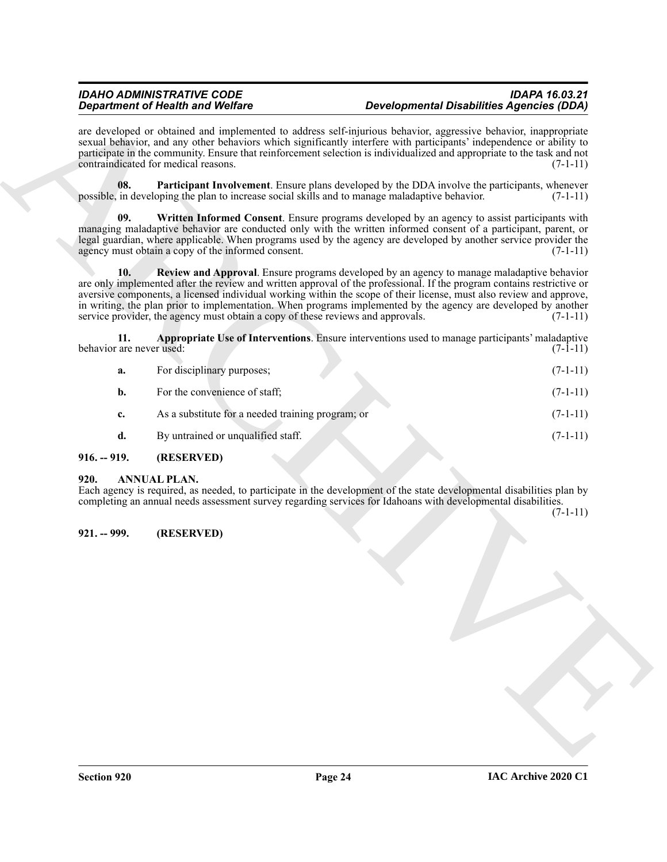<span id="page-23-7"></span><span id="page-23-5"></span>

| are developed or obtained and implemented to address self-injurious behavior, aggressive behavior, inappropriate<br>sexual behavior, and any other behaviors which significantly interfere with participants' independence or ability to<br>participate in the community. Ensure that reinforcement selection is individualized and appropriate to the task and not<br>contraindicated for medical reasons.<br>08.<br><b>Participant Involvement.</b> Ensure plans developed by the DDA involve the participants, whenever<br>possible, in developing the plan to increase social skills and to manage maladaptive behavior.<br>09.<br>Written Informed Consent. Ensure programs developed by an agency to assist participants with<br>managing maladaptive behavior are conducted only with the written informed consent of a participant, parent, or<br>legal guardian, where applicable. When programs used by the agency are developed by another service provider the<br>agency must obtain a copy of the informed consent.<br>10.<br>Review and Approval. Ensure programs developed by an agency to manage maladaptive behavior<br>are only implemented after the review and written approval of the professional. If the program contains restrictive or<br>aversive components, a licensed individual working within the scope of their license, must also review and approve,<br>in writing, the plan prior to implementation. When programs implemented by the agency are developed by another<br>service provider, the agency must obtain a copy of these reviews and approvals.<br>Appropriate Use of Interventions. Ensure interventions used to manage participants' maladaptive<br>11.<br>behavior are never used:<br>For disciplinary purposes;<br>a.<br>For the convenience of staff;<br>$\mathbf{b}$ .<br>As a substitute for a needed training program; or<br>c.<br>By untrained or unqualified staff.<br>d.<br>$916. - 919.$<br>(RESERVED)<br>920.<br><b>ANNUAL PLAN.</b><br>Each agency is required, as needed, to participate in the development of the state developmental disabilities plan by<br>completing an annual needs assessment survey regarding services for Idahoans with developmental disabilities.<br>(RESERVED)<br>$921. - 999.$ | <b>Department of Health and Welfare</b> | <b>Developmental Disabilities Agencies (DDA)</b> |            |
|------------------------------------------------------------------------------------------------------------------------------------------------------------------------------------------------------------------------------------------------------------------------------------------------------------------------------------------------------------------------------------------------------------------------------------------------------------------------------------------------------------------------------------------------------------------------------------------------------------------------------------------------------------------------------------------------------------------------------------------------------------------------------------------------------------------------------------------------------------------------------------------------------------------------------------------------------------------------------------------------------------------------------------------------------------------------------------------------------------------------------------------------------------------------------------------------------------------------------------------------------------------------------------------------------------------------------------------------------------------------------------------------------------------------------------------------------------------------------------------------------------------------------------------------------------------------------------------------------------------------------------------------------------------------------------------------------------------------------------------------------------------------------------------------------------------------------------------------------------------------------------------------------------------------------------------------------------------------------------------------------------------------------------------------------------------------------------------------------------------------------------------------------------------------------------------------------------------------------------------------------------------------|-----------------------------------------|--------------------------------------------------|------------|
|                                                                                                                                                                                                                                                                                                                                                                                                                                                                                                                                                                                                                                                                                                                                                                                                                                                                                                                                                                                                                                                                                                                                                                                                                                                                                                                                                                                                                                                                                                                                                                                                                                                                                                                                                                                                                                                                                                                                                                                                                                                                                                                                                                                                                                                                        |                                         |                                                  | $(7-1-11)$ |
|                                                                                                                                                                                                                                                                                                                                                                                                                                                                                                                                                                                                                                                                                                                                                                                                                                                                                                                                                                                                                                                                                                                                                                                                                                                                                                                                                                                                                                                                                                                                                                                                                                                                                                                                                                                                                                                                                                                                                                                                                                                                                                                                                                                                                                                                        |                                         |                                                  | $(7-1-11)$ |
|                                                                                                                                                                                                                                                                                                                                                                                                                                                                                                                                                                                                                                                                                                                                                                                                                                                                                                                                                                                                                                                                                                                                                                                                                                                                                                                                                                                                                                                                                                                                                                                                                                                                                                                                                                                                                                                                                                                                                                                                                                                                                                                                                                                                                                                                        |                                         |                                                  | $(7-1-11)$ |
|                                                                                                                                                                                                                                                                                                                                                                                                                                                                                                                                                                                                                                                                                                                                                                                                                                                                                                                                                                                                                                                                                                                                                                                                                                                                                                                                                                                                                                                                                                                                                                                                                                                                                                                                                                                                                                                                                                                                                                                                                                                                                                                                                                                                                                                                        |                                         |                                                  | $(7-1-11)$ |
|                                                                                                                                                                                                                                                                                                                                                                                                                                                                                                                                                                                                                                                                                                                                                                                                                                                                                                                                                                                                                                                                                                                                                                                                                                                                                                                                                                                                                                                                                                                                                                                                                                                                                                                                                                                                                                                                                                                                                                                                                                                                                                                                                                                                                                                                        |                                         |                                                  | $(7-1-11)$ |
|                                                                                                                                                                                                                                                                                                                                                                                                                                                                                                                                                                                                                                                                                                                                                                                                                                                                                                                                                                                                                                                                                                                                                                                                                                                                                                                                                                                                                                                                                                                                                                                                                                                                                                                                                                                                                                                                                                                                                                                                                                                                                                                                                                                                                                                                        |                                         |                                                  | $(7-1-11)$ |
|                                                                                                                                                                                                                                                                                                                                                                                                                                                                                                                                                                                                                                                                                                                                                                                                                                                                                                                                                                                                                                                                                                                                                                                                                                                                                                                                                                                                                                                                                                                                                                                                                                                                                                                                                                                                                                                                                                                                                                                                                                                                                                                                                                                                                                                                        |                                         |                                                  | $(7-1-11)$ |
|                                                                                                                                                                                                                                                                                                                                                                                                                                                                                                                                                                                                                                                                                                                                                                                                                                                                                                                                                                                                                                                                                                                                                                                                                                                                                                                                                                                                                                                                                                                                                                                                                                                                                                                                                                                                                                                                                                                                                                                                                                                                                                                                                                                                                                                                        |                                         |                                                  | $(7-1-11)$ |
|                                                                                                                                                                                                                                                                                                                                                                                                                                                                                                                                                                                                                                                                                                                                                                                                                                                                                                                                                                                                                                                                                                                                                                                                                                                                                                                                                                                                                                                                                                                                                                                                                                                                                                                                                                                                                                                                                                                                                                                                                                                                                                                                                                                                                                                                        |                                         |                                                  | $(7-1-11)$ |
|                                                                                                                                                                                                                                                                                                                                                                                                                                                                                                                                                                                                                                                                                                                                                                                                                                                                                                                                                                                                                                                                                                                                                                                                                                                                                                                                                                                                                                                                                                                                                                                                                                                                                                                                                                                                                                                                                                                                                                                                                                                                                                                                                                                                                                                                        |                                         |                                                  |            |
|                                                                                                                                                                                                                                                                                                                                                                                                                                                                                                                                                                                                                                                                                                                                                                                                                                                                                                                                                                                                                                                                                                                                                                                                                                                                                                                                                                                                                                                                                                                                                                                                                                                                                                                                                                                                                                                                                                                                                                                                                                                                                                                                                                                                                                                                        |                                         |                                                  | $(7-1-11)$ |
|                                                                                                                                                                                                                                                                                                                                                                                                                                                                                                                                                                                                                                                                                                                                                                                                                                                                                                                                                                                                                                                                                                                                                                                                                                                                                                                                                                                                                                                                                                                                                                                                                                                                                                                                                                                                                                                                                                                                                                                                                                                                                                                                                                                                                                                                        |                                         |                                                  |            |
|                                                                                                                                                                                                                                                                                                                                                                                                                                                                                                                                                                                                                                                                                                                                                                                                                                                                                                                                                                                                                                                                                                                                                                                                                                                                                                                                                                                                                                                                                                                                                                                                                                                                                                                                                                                                                                                                                                                                                                                                                                                                                                                                                                                                                                                                        |                                         |                                                  |            |
|                                                                                                                                                                                                                                                                                                                                                                                                                                                                                                                                                                                                                                                                                                                                                                                                                                                                                                                                                                                                                                                                                                                                                                                                                                                                                                                                                                                                                                                                                                                                                                                                                                                                                                                                                                                                                                                                                                                                                                                                                                                                                                                                                                                                                                                                        |                                         |                                                  |            |
|                                                                                                                                                                                                                                                                                                                                                                                                                                                                                                                                                                                                                                                                                                                                                                                                                                                                                                                                                                                                                                                                                                                                                                                                                                                                                                                                                                                                                                                                                                                                                                                                                                                                                                                                                                                                                                                                                                                                                                                                                                                                                                                                                                                                                                                                        |                                         |                                                  |            |
|                                                                                                                                                                                                                                                                                                                                                                                                                                                                                                                                                                                                                                                                                                                                                                                                                                                                                                                                                                                                                                                                                                                                                                                                                                                                                                                                                                                                                                                                                                                                                                                                                                                                                                                                                                                                                                                                                                                                                                                                                                                                                                                                                                                                                                                                        |                                         |                                                  |            |
|                                                                                                                                                                                                                                                                                                                                                                                                                                                                                                                                                                                                                                                                                                                                                                                                                                                                                                                                                                                                                                                                                                                                                                                                                                                                                                                                                                                                                                                                                                                                                                                                                                                                                                                                                                                                                                                                                                                                                                                                                                                                                                                                                                                                                                                                        |                                         |                                                  |            |
|                                                                                                                                                                                                                                                                                                                                                                                                                                                                                                                                                                                                                                                                                                                                                                                                                                                                                                                                                                                                                                                                                                                                                                                                                                                                                                                                                                                                                                                                                                                                                                                                                                                                                                                                                                                                                                                                                                                                                                                                                                                                                                                                                                                                                                                                        |                                         |                                                  |            |
|                                                                                                                                                                                                                                                                                                                                                                                                                                                                                                                                                                                                                                                                                                                                                                                                                                                                                                                                                                                                                                                                                                                                                                                                                                                                                                                                                                                                                                                                                                                                                                                                                                                                                                                                                                                                                                                                                                                                                                                                                                                                                                                                                                                                                                                                        |                                         |                                                  |            |
|                                                                                                                                                                                                                                                                                                                                                                                                                                                                                                                                                                                                                                                                                                                                                                                                                                                                                                                                                                                                                                                                                                                                                                                                                                                                                                                                                                                                                                                                                                                                                                                                                                                                                                                                                                                                                                                                                                                                                                                                                                                                                                                                                                                                                                                                        |                                         |                                                  |            |

# <span id="page-23-6"></span><span id="page-23-4"></span><span id="page-23-0"></span>**916. -- 919. (RESERVED)**

# <span id="page-23-3"></span><span id="page-23-1"></span>**920. ANNUAL PLAN.**

# <span id="page-23-2"></span>**921. -- 999. (RESERVED)**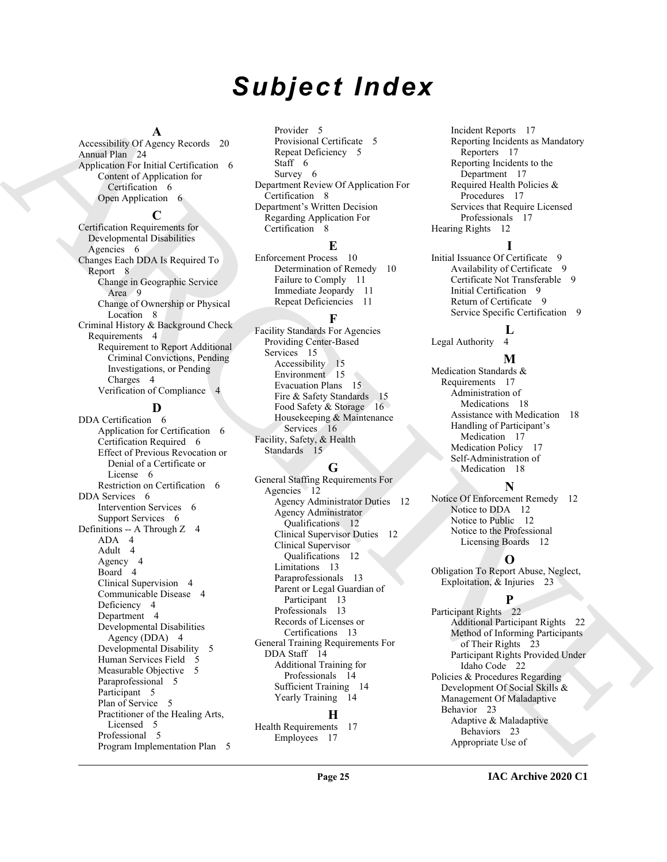# *Subject Index*

#### **A**

Accessibility Of Agency Records 20 Annual Plan 24 Application For Initial Certification 6 Content of Application for Certification 6 Open Application 6

#### **C**

Certification Requirements for Developmental Disabilities Agencies 6 Changes Each DDA Is Required To Report 8 Change in Geographic Service Area 9 Change of Ownership or Physical Location 8 Criminal History & Background Check Requirements 4 Requirement to Report Additional Criminal Convictions, Pending Investigations, or Pending Charges 4 Verification of Compliance 4

# **D**

According to American [C](#page-14-3)ontrol (and the second of the second of the second of the second of the second of the second of the second of the second of the second of the second of the second of the second of the second of the DDA Certification 6 Application for Certification 6 Certification Required 6 Effect of Previous Revocation or Denial of a Certificate or License 6 Restriction on Certification 6 DDA Services 6 Intervention Services 6 Support Services 6 Definitions -- A Through Z 4 ADA 4 Adult 4 Agency 4 Board 4 Clinical Supervision 4 Communicable Disease 4 Deficiency 4 Department 4 Developmental Disabilities Agency (DDA) 4 Developmental Disability 5 Human Services Field 5 Measurable Objective 5 Paraprofessional 5 Participant 5 Plan of Service 5 Practitioner of the Healing Arts, Licensed 5 Professional 5 Program Implementation Plan 5

Provider 5 Provisional Certificate 5 Repeat Deficiency 5 Staff 6 Survey 6 Department Review Of Application For Certification 8 Department's Written Decision Regarding Application For Certification 8

# **E**

Enforcement Process 10 Determination of Remedy 10 Failure to Comply 11 Immediate Jeopardy 11 Repeat Deficiencies 11

# **F**

Facility Standards For Agencies Providing Center-Based Services 15 Accessibility 15 Environment 15 Evacuation Plans 15 Fire & Safety Standards 15 Food Safety & Storage 16 Housekeeping & Maintenance Services 16 Facility, Safety, & Health Standards 15

# **G**

General Staffing Requirements For Agencies 12 Agency Administrator Duties 12 Agency Administrator Qualifications 12 Clinical Supervisor Duties 12 Clinical Supervisor Qualifications 12 Limitations 13 Paraprofessionals 13 Parent or Legal Guardian of Participant 13 Professionals 13 Records of Licenses or Certifications 13 General Training Requirements For DDA Staff 14 Additional Training for Professionals 14 Sufficient Training 14 Yearly Training 14

# **H**

Health Requirements 17 Employees 17

Incident Reports 17 Reporting Incidents as Mandatory Reporters 17 Reporting Incidents to the Department 17 Required Health Policies & Procedures 17 Services that Require Licensed Professionals 17 Hearing Rights 12

**I** Initial Issuance Of Certificate 9 Availability of Certificate 9 Certificate Not Transferable 9 Initial Certification 9 Return of Certificate 9 Service Specific Certification 9

# **L**

Legal Authority 4

# **M**

Medication Standards & Requirements 17 Administration of Medications 18 Assistance with Medication 18 Handling of Participant's Medication 17 Medication Policy 17 Self-Administration of Medication 18

# **N**

Notice Of Enforcement Remedy 12 Notice to DDA 12 Notice to Public 12 Notice to the Professional Licensing Boards 12

# **O**

Obligation To Report Abuse, Neglect, Exploitation, & Injuries 23

# **P**

Participant Rights 22 Additional Participant Rights 22 Method of Informing Participants of Their Rights 23 Participant Rights Provided Under Idaho Code 22 Policies & Procedures Regarding Development Of Social Skills & Management Of Maladaptive Behavior 23 Adaptive & Maladaptive Behaviors 23 Appropriate Use of